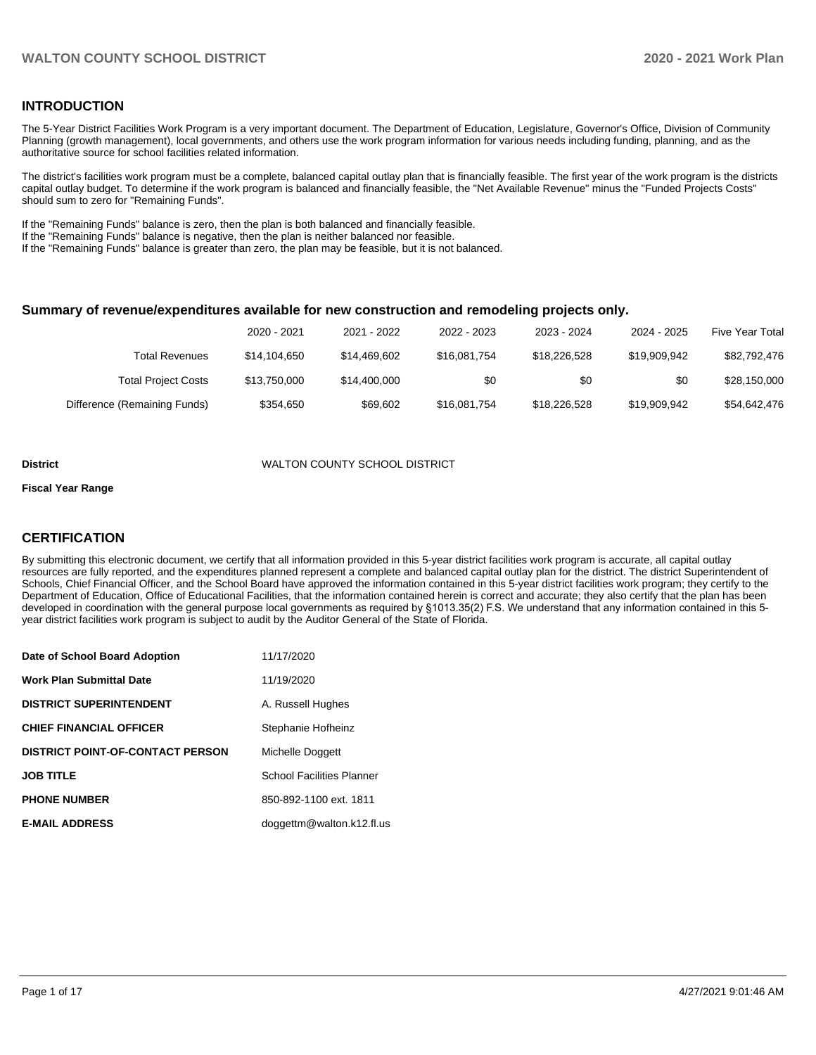# **INTRODUCTION**

The 5-Year District Facilities Work Program is a very important document. The Department of Education, Legislature, Governor's Office, Division of Community Planning (growth management), local governments, and others use the work program information for various needs including funding, planning, and as the authoritative source for school facilities related information.

The district's facilities work program must be a complete, balanced capital outlay plan that is financially feasible. The first year of the work program is the districts capital outlay budget. To determine if the work program is balanced and financially feasible, the "Net Available Revenue" minus the "Funded Projects Costs" should sum to zero for "Remaining Funds".

If the "Remaining Funds" balance is zero, then the plan is both balanced and financially feasible.

If the "Remaining Funds" balance is negative, then the plan is neither balanced nor feasible.

If the "Remaining Funds" balance is greater than zero, the plan may be feasible, but it is not balanced.

#### **Summary of revenue/expenditures available for new construction and remodeling projects only.**

| Five Year Total | 2024 - 2025  | 2023 - 2024  | 2022 - 2023  | 2021 - 2022  | 2020 - 2021  |                              |
|-----------------|--------------|--------------|--------------|--------------|--------------|------------------------------|
| \$82,792,476    | \$19,909,942 | \$18,226,528 | \$16,081,754 | \$14.469.602 | \$14,104,650 | Total Revenues               |
| \$28,150,000    | \$0          | \$0          | \$0          | \$14,400,000 | \$13,750,000 | <b>Total Project Costs</b>   |
| \$54,642,476    | \$19.909.942 | \$18,226,528 | \$16,081,754 | \$69,602     | \$354.650    | Difference (Remaining Funds) |

#### **District** WALTON COUNTY SCHOOL DISTRICT

#### **Fiscal Year Range**

# **CERTIFICATION**

By submitting this electronic document, we certify that all information provided in this 5-year district facilities work program is accurate, all capital outlay resources are fully reported, and the expenditures planned represent a complete and balanced capital outlay plan for the district. The district Superintendent of Schools, Chief Financial Officer, and the School Board have approved the information contained in this 5-year district facilities work program; they certify to the Department of Education, Office of Educational Facilities, that the information contained herein is correct and accurate; they also certify that the plan has been developed in coordination with the general purpose local governments as required by §1013.35(2) F.S. We understand that any information contained in this 5 year district facilities work program is subject to audit by the Auditor General of the State of Florida.

| Date of School Board Adoption           | 11/17/2020                       |
|-----------------------------------------|----------------------------------|
| <b>Work Plan Submittal Date</b>         | 11/19/2020                       |
| <b>DISTRICT SUPERINTENDENT</b>          | A. Russell Hughes                |
| <b>CHIEF FINANCIAL OFFICER</b>          | Stephanie Hofheinz               |
| <b>DISTRICT POINT-OF-CONTACT PERSON</b> | Michelle Doggett                 |
| <b>JOB TITLE</b>                        | <b>School Facilities Planner</b> |
| <b>PHONE NUMBER</b>                     | 850-892-1100 ext. 1811           |
| <b>E-MAIL ADDRESS</b>                   | doggettm@walton.k12.fl.us        |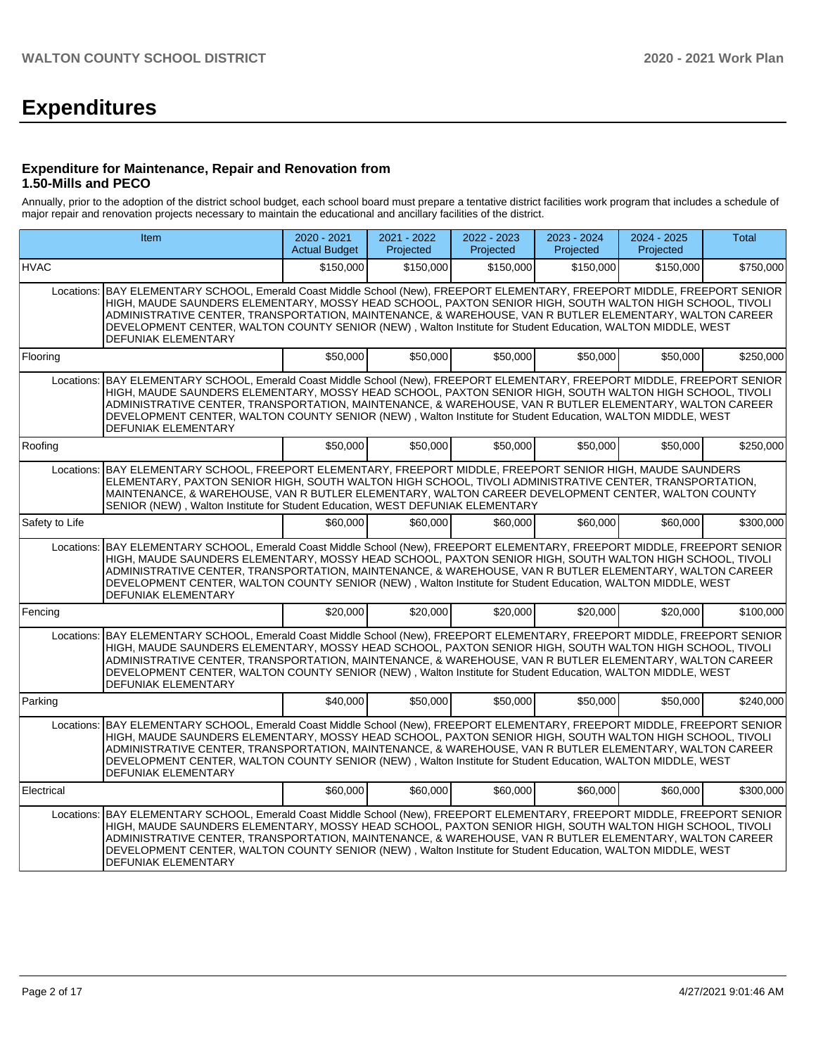# **Expenditures**

# **Expenditure for Maintenance, Repair and Renovation from 1.50-Mills and PECO**

Annually, prior to the adoption of the district school budget, each school board must prepare a tentative district facilities work program that includes a schedule of major repair and renovation projects necessary to maintain the educational and ancillary facilities of the district.

|                | <b>Item</b>                                                                                                                                                                                                                                                                                                                                                                                                                                                                                    | 2020 - 2021<br><b>Actual Budget</b> | 2021 - 2022<br>Projected | 2022 - 2023<br>Projected | $2023 - 2024$<br>Projected | 2024 - 2025<br>Projected | <b>Total</b> |
|----------------|------------------------------------------------------------------------------------------------------------------------------------------------------------------------------------------------------------------------------------------------------------------------------------------------------------------------------------------------------------------------------------------------------------------------------------------------------------------------------------------------|-------------------------------------|--------------------------|--------------------------|----------------------------|--------------------------|--------------|
| <b>HVAC</b>    |                                                                                                                                                                                                                                                                                                                                                                                                                                                                                                | \$150,000                           | \$150,000                | \$150,000                | \$150,000                  | \$150,000                | \$750,000    |
| Locations:     | BAY ELEMENTARY SCHOOL, Emerald Coast Middle School (New), FREEPORT ELEMENTARY, FREEPORT MIDDLE, FREEPORT SENIOR<br>HIGH, MAUDE SAUNDERS ELEMENTARY, MOSSY HEAD SCHOOL, PAXTON SENIOR HIGH, SOUTH WALTON HIGH SCHOOL, TIVOLI<br>ADMINISTRATIVE CENTER, TRANSPORTATION, MAINTENANCE, & WAREHOUSE, VAN R BUTLER ELEMENTARY, WALTON CAREER<br>DEVELOPMENT CENTER, WALTON COUNTY SENIOR (NEW), Walton Institute for Student Education, WALTON MIDDLE, WEST<br>DEFUNIAK ELEMENTARY                   |                                     |                          |                          |                            |                          |              |
| Flooring       |                                                                                                                                                                                                                                                                                                                                                                                                                                                                                                | \$50,000                            | \$50,000                 | \$50,000                 | \$50,000                   | \$50.000                 | \$250,000    |
| Locations:     | BAY ELEMENTARY SCHOOL, Emerald Coast Middle School (New), FREEPORT ELEMENTARY, FREEPORT MIDDLE, FREEPORT SENIOR<br>HIGH, MAUDE SAUNDERS ELEMENTARY, MOSSY HEAD SCHOOL, PAXTON SENIOR HIGH, SOUTH WALTON HIGH SCHOOL, TIVOLI<br>ADMINISTRATIVE CENTER. TRANSPORTATION. MAINTENANCE. & WAREHOUSE. VAN R BUTLER ELEMENTARY. WALTON CAREER<br>DEVELOPMENT CENTER, WALTON COUNTY SENIOR (NEW), Walton Institute for Student Education, WALTON MIDDLE, WEST<br><b>DEFUNIAK ELEMENTARY</b>            |                                     |                          |                          |                            |                          |              |
| Roofing        |                                                                                                                                                                                                                                                                                                                                                                                                                                                                                                | \$50,000                            | \$50,000                 | \$50,000                 | \$50,000                   | \$50,000                 | \$250,000    |
| Locations:     | BAY ELEMENTARY SCHOOL, FREEPORT ELEMENTARY, FREEPORT MIDDLE, FREEPORT SENIOR HIGH, MAUDE SAUNDERS<br>ELEMENTARY, PAXTON SENIOR HIGH, SOUTH WALTON HIGH SCHOOL, TIVOLI ADMINISTRATIVE CENTER, TRANSPORTATION,<br>MAINTENANCE, & WAREHOUSE, VAN R BUTLER ELEMENTARY, WALTON CAREER DEVELOPMENT CENTER, WALTON COUNTY<br>SENIOR (NEW), Walton Institute for Student Education, WEST DEFUNIAK ELEMENTARY                                                                                           |                                     |                          |                          |                            |                          |              |
| Safety to Life |                                                                                                                                                                                                                                                                                                                                                                                                                                                                                                | \$60,000                            | \$60,000                 | \$60,000                 | \$60,000                   | \$60,000                 | \$300,000    |
| Locations:     | BAY ELEMENTARY SCHOOL, Emerald Coast Middle School (New), FREEPORT ELEMENTARY, FREEPORT MIDDLE, FREEPORT SENIOR<br>HIGH, MAUDE SAUNDERS ELEMENTARY, MOSSY HEAD SCHOOL, PAXTON SENIOR HIGH, SOUTH WALTON HIGH SCHOOL, TIVOLI<br>ADMINISTRATIVE CENTER, TRANSPORTATION, MAINTENANCE, & WAREHOUSE, VAN R BUTLER ELEMENTARY, WALTON CAREER<br>DEVELOPMENT CENTER, WALTON COUNTY SENIOR (NEW), Walton Institute for Student Education, WALTON MIDDLE, WEST<br>DEFUNIAK ELEMENTARY                   |                                     |                          |                          |                            |                          |              |
| Fencing        |                                                                                                                                                                                                                                                                                                                                                                                                                                                                                                | \$20,000                            | \$20,000                 | \$20,000                 | \$20,000                   | \$20.000                 | \$100,000    |
|                | Locations: BAY ELEMENTARY SCHOOL, Emerald Coast Middle School (New), FREEPORT ELEMENTARY, FREEPORT MIDDLE, FREEPORT SENIOR<br>HIGH, MAUDE SAUNDERS ELEMENTARY, MOSSY HEAD SCHOOL, PAXTON SENIOR HIGH, SOUTH WALTON HIGH SCHOOL, TIVOLI<br>ADMINISTRATIVE CENTER, TRANSPORTATION, MAINTENANCE, & WAREHOUSE, VAN R BUTLER ELEMENTARY, WALTON CAREER<br>DEVELOPMENT CENTER, WALTON COUNTY SENIOR (NEW), Walton Institute for Student Education, WALTON MIDDLE, WEST<br><b>DEFUNIAK ELEMENTARY</b> |                                     |                          |                          |                            |                          |              |
| Parking        |                                                                                                                                                                                                                                                                                                                                                                                                                                                                                                | \$40,000                            | \$50,000                 | \$50,000                 | \$50,000                   | \$50.000                 | \$240,000    |
| Locations:     | BAY ELEMENTARY SCHOOL, Emerald Coast Middle School (New), FREEPORT ELEMENTARY, FREEPORT MIDDLE, FREEPORT SENIOR<br>HIGH, MAUDE SAUNDERS ELEMENTARY, MOSSY HEAD SCHOOL, PAXTON SENIOR HIGH, SOUTH WALTON HIGH SCHOOL, TIVOLI<br>ADMINISTRATIVE CENTER, TRANSPORTATION, MAINTENANCE, & WAREHOUSE, VAN R BUTLER ELEMENTARY, WALTON CAREER<br>DEVELOPMENT CENTER, WALTON COUNTY SENIOR (NEW), Walton Institute for Student Education, WALTON MIDDLE, WEST<br>DEFUNIAK ELEMENTARY                   |                                     |                          |                          |                            |                          |              |
| Electrical     |                                                                                                                                                                                                                                                                                                                                                                                                                                                                                                | \$60,000                            | \$60,000                 | \$60,000                 | \$60,000                   | \$60,000                 | \$300,000    |
| Locations:     | BAY ELEMENTARY SCHOOL, Emerald Coast Middle School (New), FREEPORT ELEMENTARY, FREEPORT MIDDLE, FREEPORT SENIOR<br>HIGH, MAUDE SAUNDERS ELEMENTARY, MOSSY HEAD SCHOOL, PAXTON SENIOR HIGH, SOUTH WALTON HIGH SCHOOL, TIVOLI<br>ADMINISTRATIVE CENTER, TRANSPORTATION, MAINTENANCE, & WAREHOUSE, VAN R BUTLER ELEMENTARY, WALTON CAREER<br>DEVELOPMENT CENTER, WALTON COUNTY SENIOR (NEW), Walton Institute for Student Education, WALTON MIDDLE, WEST<br><b>DEFUNIAK ELEMENTARY</b>            |                                     |                          |                          |                            |                          |              |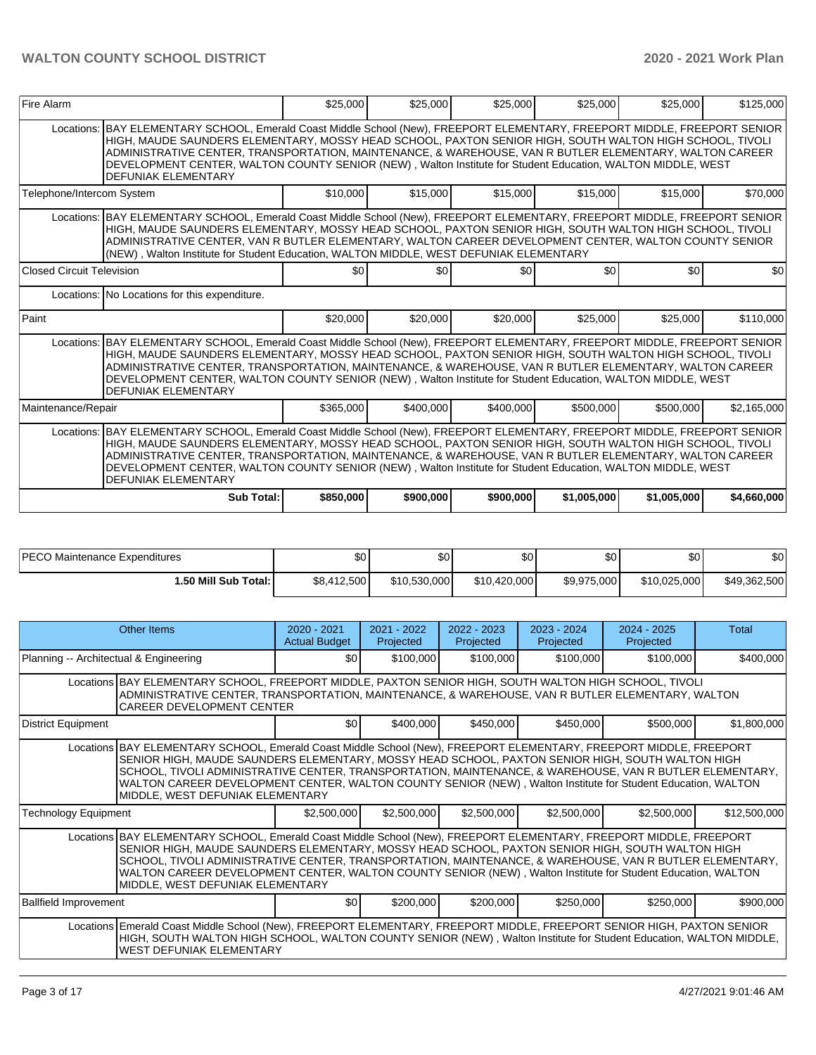| Fire Alarm                       |                                                                                                                                                                                                                                                                                                                                                                                                                                                                                                | \$25,000  | \$25,000  | \$25,000  | \$25,000    | \$25,000    | \$125,000   |  |  |  |  |  |
|----------------------------------|------------------------------------------------------------------------------------------------------------------------------------------------------------------------------------------------------------------------------------------------------------------------------------------------------------------------------------------------------------------------------------------------------------------------------------------------------------------------------------------------|-----------|-----------|-----------|-------------|-------------|-------------|--|--|--|--|--|
|                                  | Locations: BAY ELEMENTARY SCHOOL, Emerald Coast Middle School (New), FREEPORT ELEMENTARY, FREEPORT MIDDLE, FREEPORT SENIOR<br>HIGH, MAUDE SAUNDERS ELEMENTARY, MOSSY HEAD SCHOOL, PAXTON SENIOR HIGH, SOUTH WALTON HIGH SCHOOL, TIVOLI<br>ADMINISTRATIVE CENTER, TRANSPORTATION, MAINTENANCE, & WAREHOUSE, VAN R BUTLER ELEMENTARY, WALTON CAREER<br>DEVELOPMENT CENTER, WALTON COUNTY SENIOR (NEW), Walton Institute for Student Education, WALTON MIDDLE, WEST<br><b>DEFUNIAK ELEMENTARY</b> |           |           |           |             |             |             |  |  |  |  |  |
| Telephone/Intercom System        |                                                                                                                                                                                                                                                                                                                                                                                                                                                                                                | \$10,000  | \$15,000  | \$15,000  | \$15,000    | \$15,000    | \$70,000    |  |  |  |  |  |
|                                  | Locations: BAY ELEMENTARY SCHOOL, Emerald Coast Middle School (New), FREEPORT ELEMENTARY, FREEPORT MIDDLE, FREEPORT SENIOR<br>HIGH, MAUDE SAUNDERS ELEMENTARY, MOSSY HEAD SCHOOL, PAXTON SENIOR HIGH, SOUTH WALTON HIGH SCHOOL, TIVOLI<br>ADMINISTRATIVE CENTER, VAN R BUTLER ELEMENTARY, WALTON CAREER DEVELOPMENT CENTER, WALTON COUNTY SENIOR<br>(NEW), Walton Institute for Student Education, WALTON MIDDLE, WEST DEFUNIAK ELEMENTARY                                                     |           |           |           |             |             |             |  |  |  |  |  |
| <b>Closed Circuit Television</b> |                                                                                                                                                                                                                                                                                                                                                                                                                                                                                                | \$0       | \$0       | \$0       | \$0         | \$0         | \$0         |  |  |  |  |  |
|                                  | Locations: No Locations for this expenditure.                                                                                                                                                                                                                                                                                                                                                                                                                                                  |           |           |           |             |             |             |  |  |  |  |  |
| Paint                            |                                                                                                                                                                                                                                                                                                                                                                                                                                                                                                | \$20,000  | \$20,000  | \$20,000  | \$25,000    | \$25,000    | \$110,000   |  |  |  |  |  |
|                                  | Locations: BAY ELEMENTARY SCHOOL, Emerald Coast Middle School (New), FREEPORT ELEMENTARY, FREEPORT MIDDLE, FREEPORT SENIOR<br>HIGH, MAUDE SAUNDERS ELEMENTARY, MOSSY HEAD SCHOOL, PAXTON SENIOR HIGH, SOUTH WALTON HIGH SCHOOL, TIVOLI<br>ADMINISTRATIVE CENTER, TRANSPORTATION, MAINTENANCE, & WAREHOUSE, VAN R BUTLER ELEMENTARY, WALTON CAREER<br>DEVELOPMENT CENTER, WALTON COUNTY SENIOR (NEW), Walton Institute for Student Education, WALTON MIDDLE, WEST<br><b>DEFUNIAK ELEMENTARY</b> |           |           |           |             |             |             |  |  |  |  |  |
| Maintenance/Repair               |                                                                                                                                                                                                                                                                                                                                                                                                                                                                                                | \$365,000 | \$400,000 | \$400,000 | \$500,000   | \$500,000   | \$2,165,000 |  |  |  |  |  |
|                                  | Locations: BAY ELEMENTARY SCHOOL, Emerald Coast Middle School (New), FREEPORT ELEMENTARY, FREEPORT MIDDLE, FREEPORT SENIOR<br>HIGH, MAUDE SAUNDERS ELEMENTARY, MOSSY HEAD SCHOOL, PAXTON SENIOR HIGH, SOUTH WALTON HIGH SCHOOL, TIVOLI<br>ADMINISTRATIVE CENTER, TRANSPORTATION, MAINTENANCE, & WAREHOUSE, VAN R BUTLER ELEMENTARY, WALTON CAREER<br>DEVELOPMENT CENTER, WALTON COUNTY SENIOR (NEW), Walton Institute for Student Education, WALTON MIDDLE, WEST<br><b>DEFUNIAK ELEMENTARY</b> |           |           |           |             |             |             |  |  |  |  |  |
|                                  | Sub Total:                                                                                                                                                                                                                                                                                                                                                                                                                                                                                     | \$850,000 | \$900,000 | \$900,000 | \$1,005,000 | \$1,005,000 | \$4,660,000 |  |  |  |  |  |

| <b>PECO</b><br>Maintenance Expenditures | ሶስ<br>ъU    | \$0          | \$0          | \$0 <sub>1</sub> | ሶሳ<br>υU     | \$0          |
|-----------------------------------------|-------------|--------------|--------------|------------------|--------------|--------------|
| 1.50 Mill Sub Total: İ                  | \$8,412,500 | \$10.530.000 | \$10.420,000 | \$9.975.000      | \$10,025,000 | \$49,362,500 |

|                                        | Other Items                                                                                                                                                                                                                                                                                                                                                                                                                                                                            | $2020 - 2021$<br><b>Actual Budget</b> | $2021 - 2022$<br>Projected | $2022 - 2023$<br>Projected | $2023 - 2024$<br>Projected | $2024 - 2025$<br>Projected | Total        |
|----------------------------------------|----------------------------------------------------------------------------------------------------------------------------------------------------------------------------------------------------------------------------------------------------------------------------------------------------------------------------------------------------------------------------------------------------------------------------------------------------------------------------------------|---------------------------------------|----------------------------|----------------------------|----------------------------|----------------------------|--------------|
| Planning -- Architectual & Engineering |                                                                                                                                                                                                                                                                                                                                                                                                                                                                                        | \$0                                   | \$100,000                  | \$100,000                  | \$100,000                  | \$100,000                  | \$400,000    |
|                                        | Locations BAY ELEMENTARY SCHOOL, FREEPORT MIDDLE, PAXTON SENIOR HIGH, SOUTH WALTON HIGH SCHOOL, TIVOLI<br>ADMINISTRATIVE CENTER, TRANSPORTATION, MAINTENANCE, & WAREHOUSE, VAN R BUTLER ELEMENTARY, WALTON<br><b>CAREER DEVELOPMENT CENTER</b>                                                                                                                                                                                                                                         |                                       |                            |                            |                            |                            |              |
| <b>District Equipment</b>              |                                                                                                                                                                                                                                                                                                                                                                                                                                                                                        | \$0                                   | \$400,000                  | \$450,000                  | \$450,000                  | \$500,000                  | \$1,800,000  |
|                                        | Locations BAY ELEMENTARY SCHOOL, Emerald Coast Middle School (New), FREEPORT ELEMENTARY, FREEPORT MIDDLE, FREEPORT<br>SENIOR HIGH, MAUDE SAUNDERS ELEMENTARY, MOSSY HEAD SCHOOL, PAXTON SENIOR HIGH, SOUTH WALTON HIGH<br>SCHOOL, TIVOLI ADMINISTRATIVE CENTER, TRANSPORTATION, MAINTENANCE, & WAREHOUSE, VAN R BUTLER ELEMENTARY,<br>WALTON CAREER DEVELOPMENT CENTER, WALTON COUNTY SENIOR (NEW), Walton Institute for Student Education, WALTON<br>MIDDLE, WEST DEFUNIAK ELEMENTARY |                                       |                            |                            |                            |                            |              |
| <b>Technology Equipment</b>            |                                                                                                                                                                                                                                                                                                                                                                                                                                                                                        | \$2,500,000                           | \$2,500,000                | \$2,500,000                | \$2,500,000                | \$2,500,000                | \$12,500,000 |
|                                        | Locations BAY ELEMENTARY SCHOOL, Emerald Coast Middle School (New), FREEPORT ELEMENTARY, FREEPORT MIDDLE, FREEPORT<br>SENIOR HIGH, MAUDE SAUNDERS ELEMENTARY, MOSSY HEAD SCHOOL, PAXTON SENIOR HIGH, SOUTH WALTON HIGH<br>SCHOOL, TIVOLI ADMINISTRATIVE CENTER, TRANSPORTATION, MAINTENANCE, & WAREHOUSE, VAN R BUTLER ELEMENTARY,<br>WALTON CAREER DEVELOPMENT CENTER, WALTON COUNTY SENIOR (NEW), Walton Institute for Student Education, WALTON<br>MIDDLE, WEST DEFUNIAK ELEMENTARY |                                       |                            |                            |                            |                            |              |
| <b>Ballfield Improvement</b>           |                                                                                                                                                                                                                                                                                                                                                                                                                                                                                        | \$0                                   | \$200,000                  | \$200,000                  | \$250,000                  | \$250,000                  | \$900,000    |
|                                        | Locations Emerald Coast Middle School (New), FREEPORT ELEMENTARY, FREEPORT MIDDLE, FREEPORT SENIOR HIGH, PAXTON SENIOR<br>HIGH, SOUTH WALTON HIGH SCHOOL, WALTON COUNTY SENIOR (NEW), Walton Institute for Student Education, WALTON MIDDLE,<br><b>WEST DEFUNIAK ELEMENTARY</b>                                                                                                                                                                                                        |                                       |                            |                            |                            |                            |              |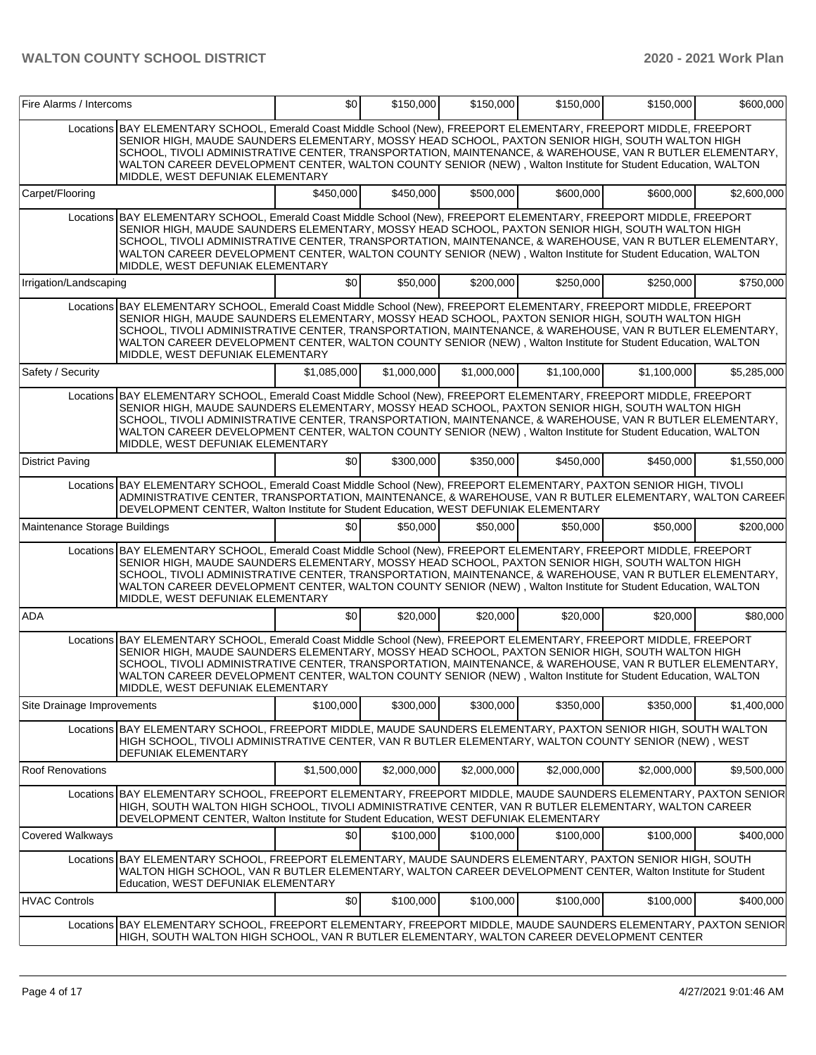| Fire Alarms / Intercoms       |                                                                                                                                                                                                                                                                                                                                                                                                                                                                                          | \$0         | \$150,000   | \$150,000   | \$150,000   | \$150,000   | \$600,000   |
|-------------------------------|------------------------------------------------------------------------------------------------------------------------------------------------------------------------------------------------------------------------------------------------------------------------------------------------------------------------------------------------------------------------------------------------------------------------------------------------------------------------------------------|-------------|-------------|-------------|-------------|-------------|-------------|
|                               | Locations BAY ELEMENTARY SCHOOL, Emerald Coast Middle School (New), FREEPORT ELEMENTARY, FREEPORT MIDDLE, FREEPORT<br>SENIOR HIGH, MAUDE SAUNDERS ELEMENTARY, MOSSY HEAD SCHOOL, PAXTON SENIOR HIGH, SOUTH WALTON HIGH<br>SCHOOL, TIVOLI ADMINISTRATIVE CENTER, TRANSPORTATION, MAINTENANCE, & WAREHOUSE, VAN R BUTLER ELEMENTARY,<br>WALTON CAREER DEVELOPMENT CENTER, WALTON COUNTY SENIOR (NEW), Walton Institute for Student Education, WALTON<br>MIDDLE, WEST DEFUNIAK ELEMENTARY   |             |             |             |             |             |             |
| Carpet/Flooring               |                                                                                                                                                                                                                                                                                                                                                                                                                                                                                          | \$450,000   | \$450,000   | \$500,000   | \$600,000   | \$600,000   | \$2,600,000 |
|                               | Locations BAY ELEMENTARY SCHOOL, Emerald Coast Middle School (New), FREEPORT ELEMENTARY, FREEPORT MIDDLE, FREEPORT<br>SENIOR HIGH, MAUDE SAUNDERS ELEMENTARY, MOSSY HEAD SCHOOL, PAXTON SENIOR HIGH, SOUTH WALTON HIGH<br>SCHOOL, TIVOLI ADMINISTRATIVE CENTER, TRANSPORTATION, MAINTENANCE, & WAREHOUSE, VAN R BUTLER ELEMENTARY,<br>WALTON CAREER DEVELOPMENT CENTER, WALTON COUNTY SENIOR (NEW), Walton Institute for Student Education, WALTON<br>MIDDLE, WEST DEFUNIAK ELEMENTARY   |             |             |             |             |             |             |
| Irrigation/Landscaping        |                                                                                                                                                                                                                                                                                                                                                                                                                                                                                          | \$0         | \$50,000    | \$200,000   | \$250,000   | \$250,000   | \$750.000   |
|                               | Locations BAY ELEMENTARY SCHOOL, Emerald Coast Middle School (New), FREEPORT ELEMENTARY, FREEPORT MIDDLE, FREEPORT<br>SENIOR HIGH, MAUDE SAUNDERS ELEMENTARY, MOSSY HEAD SCHOOL, PAXTON SENIOR HIGH, SOUTH WALTON HIGH<br>SCHOOL, TIVOLI ADMINISTRATIVE CENTER, TRANSPORTATION, MAINTENANCE, & WAREHOUSE, VAN R BUTLER ELEMENTARY,<br>WALTON CAREER DEVELOPMENT CENTER, WALTON COUNTY SENIOR (NEW), Walton Institute for Student Education, WALTON<br>MIDDLE, WEST DEFUNIAK ELEMENTARY   |             |             |             |             |             |             |
| Safety / Security             |                                                                                                                                                                                                                                                                                                                                                                                                                                                                                          | \$1.085.000 | \$1,000,000 | \$1,000,000 | \$1,100,000 | \$1,100,000 | \$5,285,000 |
|                               | Locations   BAY ELEMENTARY SCHOOL, Emerald Coast Middle School (New), FREEPORT ELEMENTARY, FREEPORT MIDDLE, FREEPORT<br>SENIOR HIGH, MAUDE SAUNDERS ELEMENTARY, MOSSY HEAD SCHOOL, PAXTON SENIOR HIGH, SOUTH WALTON HIGH<br>SCHOOL, TIVOLI ADMINISTRATIVE CENTER, TRANSPORTATION, MAINTENANCE, & WAREHOUSE, VAN R BUTLER ELEMENTARY,<br>WALTON CAREER DEVELOPMENT CENTER, WALTON COUNTY SENIOR (NEW), Walton Institute for Student Education, WALTON<br>MIDDLE, WEST DEFUNIAK ELEMENTARY |             |             |             |             |             |             |
| <b>District Paving</b>        |                                                                                                                                                                                                                                                                                                                                                                                                                                                                                          | \$0         | \$300,000   | \$350,000   | \$450,000   | \$450,000   | \$1.550.000 |
|                               | Locations BAY ELEMENTARY SCHOOL, Emerald Coast Middle School (New), FREEPORT ELEMENTARY, PAXTON SENIOR HIGH, TIVOLI<br>ADMINISTRATIVE CENTER, TRANSPORTATION, MAINTENANCE, & WAREHOUSE, VAN R BUTLER ELEMENTARY, WALTON CAREER<br>DEVELOPMENT CENTER, Walton Institute for Student Education, WEST DEFUNIAK ELEMENTARY                                                                                                                                                                   |             |             |             |             |             |             |
| Maintenance Storage Buildings |                                                                                                                                                                                                                                                                                                                                                                                                                                                                                          | \$0         | \$50,000    | \$50,000    | \$50,000    | \$50,000    | \$200,000   |
|                               | Locations BAY ELEMENTARY SCHOOL, Emerald Coast Middle School (New), FREEPORT ELEMENTARY, FREEPORT MIDDLE, FREEPORT<br>SENIOR HIGH, MAUDE SAUNDERS ELEMENTARY, MOSSY HEAD SCHOOL, PAXTON SENIOR HIGH, SOUTH WALTON HIGH<br>SCHOOL, TIVOLI ADMINISTRATIVE CENTER, TRANSPORTATION, MAINTENANCE, & WAREHOUSE, VAN R BUTLER ELEMENTARY,<br>WALTON CAREER DEVELOPMENT CENTER, WALTON COUNTY SENIOR (NEW), Walton Institute for Student Education, WALTON<br>MIDDLE, WEST DEFUNIAK ELEMENTARY   |             |             |             |             |             |             |
| <b>ADA</b>                    |                                                                                                                                                                                                                                                                                                                                                                                                                                                                                          | \$0         | \$20,000    | \$20,000    | \$20,000    | \$20,000    | \$80,000    |
|                               | Locations BAY ELEMENTARY SCHOOL, Emerald Coast Middle School (New), FREEPORT ELEMENTARY, FREEPORT MIDDLE, FREEPORT<br>SENIOR HIGH, MAUDE SAUNDERS ELEMENTARY, MOSSY HEAD SCHOOL, PAXTON SENIOR HIGH, SOUTH WALTON HIGH<br>SCHOOL, TIVOLI ADMINISTRATIVE CENTER, TRANSPORTATION, MAINTENANCE, & WAREHOUSE, VAN R BUTLER ELEMENTARY,<br>WALTON CAREER DEVELOPMENT CENTER, WALTON COUNTY SENIOR (NEW), Walton Institute for Student Education, WALTON<br>MIDDLE. WEST DEFUNIAK ELEMENTARY   |             |             |             |             |             |             |
| Site Drainage Improvements    |                                                                                                                                                                                                                                                                                                                                                                                                                                                                                          | \$100,000   | \$300,000   | \$300,000   | \$350,000   | \$350,000   | \$1,400,000 |
|                               | Locations BAY ELEMENTARY SCHOOL, FREEPORT MIDDLE, MAUDE SAUNDERS ELEMENTARY, PAXTON SENIOR HIGH, SOUTH WALTON<br>HIGH SCHOOL, TIVOLI ADMINISTRATIVE CENTER, VAN R BUTLER ELEMENTARY, WALTON COUNTY SENIOR (NEW), WEST<br>DEFUNIAK ELEMENTARY                                                                                                                                                                                                                                             |             |             |             |             |             |             |
| <b>Roof Renovations</b>       |                                                                                                                                                                                                                                                                                                                                                                                                                                                                                          | \$1,500,000 | \$2,000,000 | \$2,000,000 | \$2,000,000 | \$2,000,000 | \$9,500,000 |
|                               | Locations BAY ELEMENTARY SCHOOL, FREEPORT ELEMENTARY, FREEPORT MIDDLE, MAUDE SAUNDERS ELEMENTARY, PAXTON SENIOR<br>HIGH, SOUTH WALTON HIGH SCHOOL, TIVOLI ADMINISTRATIVE CENTER, VAN R BUTLER ELEMENTARY, WALTON CAREER<br>DEVELOPMENT CENTER, Walton Institute for Student Education, WEST DEFUNIAK ELEMENTARY                                                                                                                                                                          |             |             |             |             |             |             |
| Covered Walkways              |                                                                                                                                                                                                                                                                                                                                                                                                                                                                                          | \$0         | \$100,000   | \$100,000   | \$100,000   | \$100,000   | \$400,000   |
|                               | Locations BAY ELEMENTARY SCHOOL, FREEPORT ELEMENTARY, MAUDE SAUNDERS ELEMENTARY, PAXTON SENIOR HIGH, SOUTH<br>WALTON HIGH SCHOOL, VAN R BUTLER ELEMENTARY, WALTON CAREER DEVELOPMENT CENTER, Walton Institute for Student<br>Education, WEST DEFUNIAK ELEMENTARY                                                                                                                                                                                                                         |             |             |             |             |             |             |
| <b>HVAC Controls</b>          |                                                                                                                                                                                                                                                                                                                                                                                                                                                                                          | \$0         | \$100,000   | \$100,000   | \$100,000   | \$100,000   | \$400,000   |
|                               | Locations BAY ELEMENTARY SCHOOL, FREEPORT ELEMENTARY, FREEPORT MIDDLE, MAUDE SAUNDERS ELEMENTARY, PAXTON SENIOR<br>HIGH, SOUTH WALTON HIGH SCHOOL, VAN R BUTLER ELEMENTARY, WALTON CAREER DEVELOPMENT CENTER                                                                                                                                                                                                                                                                             |             |             |             |             |             |             |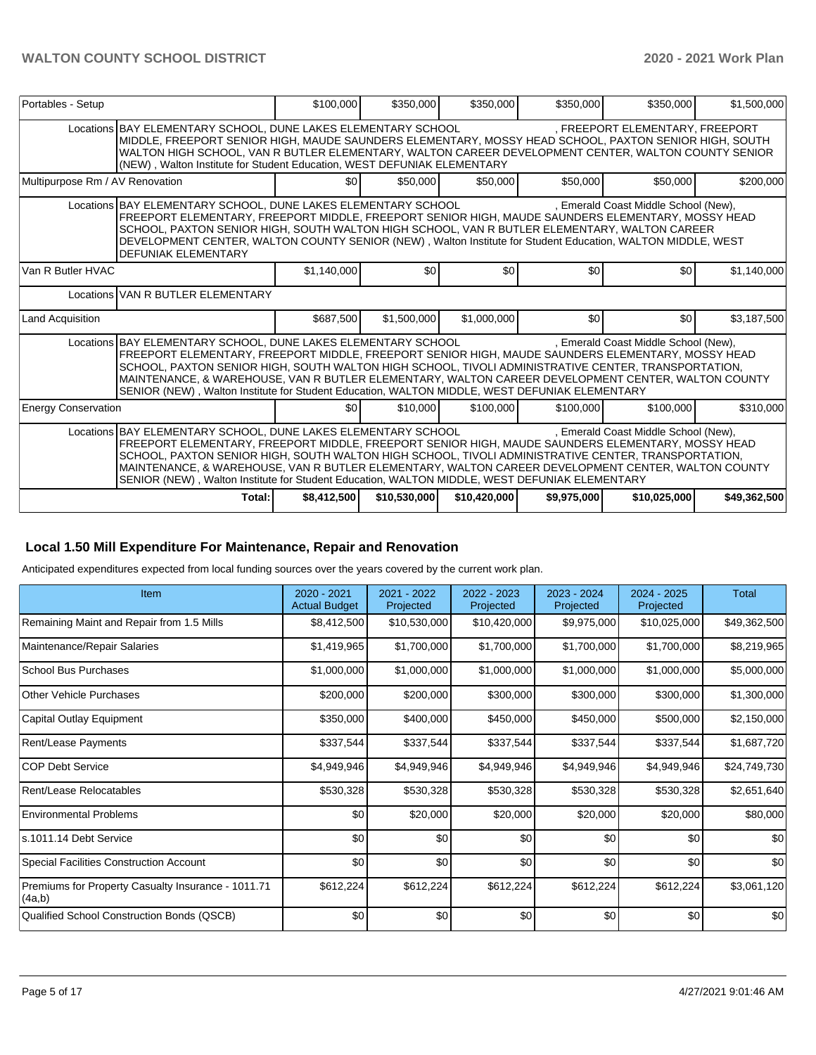| Portables - Setup                                                                                                                                                                                                                                                                                                                                                                                                                                                                                                        | \$100,000                                                                                                                                                                                                                                                                                                                                                                                                                                                                                                                | \$350,000        | \$350,000    | \$350,000   | \$350,000                            | \$1,500,000  |  |  |  |  |
|--------------------------------------------------------------------------------------------------------------------------------------------------------------------------------------------------------------------------------------------------------------------------------------------------------------------------------------------------------------------------------------------------------------------------------------------------------------------------------------------------------------------------|--------------------------------------------------------------------------------------------------------------------------------------------------------------------------------------------------------------------------------------------------------------------------------------------------------------------------------------------------------------------------------------------------------------------------------------------------------------------------------------------------------------------------|------------------|--------------|-------------|--------------------------------------|--------------|--|--|--|--|
| Locations BAY ELEMENTARY SCHOOL, DUNE LAKES ELEMENTARY SCHOOL<br>, FREEPORT ELEMENTARY, FREEPORT<br>MIDDLE, FREEPORT SENIOR HIGH, MAUDE SAUNDERS ELEMENTARY, MOSSY HEAD SCHOOL, PAXTON SENIOR HIGH, SOUTH<br>WALTON HIGH SCHOOL, VAN R BUTLER ELEMENTARY, WALTON CAREER DEVELOPMENT CENTER, WALTON COUNTY SENIOR<br>(NEW), Walton Institute for Student Education, WEST DEFUNIAK ELEMENTARY                                                                                                                              |                                                                                                                                                                                                                                                                                                                                                                                                                                                                                                                          |                  |              |             |                                      |              |  |  |  |  |
| Multipurpose Rm / AV Renovation                                                                                                                                                                                                                                                                                                                                                                                                                                                                                          | \$0 <sub>1</sub>                                                                                                                                                                                                                                                                                                                                                                                                                                                                                                         | \$50,000         | \$50,000     | \$50,000    | \$50,000                             | \$200,000    |  |  |  |  |
| Locations BAY ELEMENTARY SCHOOL, DUNE LAKES ELEMENTARY SCHOOL<br>FREEPORT ELEMENTARY, FREEPORT MIDDLE, FREEPORT SENIOR HIGH, MAUDE SAUNDERS ELEMENTARY, MOSSY HEAD<br>SCHOOL, PAXTON SENIOR HIGH, SOUTH WALTON HIGH SCHOOL, VAN R BUTLER ELEMENTARY, WALTON CAREER<br>DEVELOPMENT CENTER, WALTON COUNTY SENIOR (NEW), Walton Institute for Student Education, WALTON MIDDLE, WEST<br><b>DEFUNIAK ELEMENTARY</b>                                                                                                          |                                                                                                                                                                                                                                                                                                                                                                                                                                                                                                                          |                  |              |             | , Emerald Coast Middle School (New), |              |  |  |  |  |
| Van R Butler HVAC                                                                                                                                                                                                                                                                                                                                                                                                                                                                                                        | \$1,140,000                                                                                                                                                                                                                                                                                                                                                                                                                                                                                                              | \$0 <sub>1</sub> | \$0          | \$0         | \$0                                  | \$1,140,000  |  |  |  |  |
|                                                                                                                                                                                                                                                                                                                                                                                                                                                                                                                          | Locations VAN R BUTLER ELEMENTARY                                                                                                                                                                                                                                                                                                                                                                                                                                                                                        |                  |              |             |                                      |              |  |  |  |  |
| <b>Land Acquisition</b>                                                                                                                                                                                                                                                                                                                                                                                                                                                                                                  | \$687,500                                                                                                                                                                                                                                                                                                                                                                                                                                                                                                                | \$1.500.000      | \$1,000,000  | \$0         | \$0                                  | \$3,187,500  |  |  |  |  |
|                                                                                                                                                                                                                                                                                                                                                                                                                                                                                                                          | . Emerald Coast Middle School (New).<br>Locations BAY ELEMENTARY SCHOOL, DUNE LAKES ELEMENTARY SCHOOL<br>FREEPORT ELEMENTARY, FREEPORT MIDDLE, FREEPORT SENIOR HIGH, MAUDE SAUNDERS ELEMENTARY, MOSSY HEAD<br>SCHOOL, PAXTON SENIOR HIGH, SOUTH WALTON HIGH SCHOOL, TIVOLI ADMINISTRATIVE CENTER, TRANSPORTATION,<br>MAINTENANCE, & WAREHOUSE, VAN R BUTLER ELEMENTARY, WALTON CAREER DEVELOPMENT CENTER, WALTON COUNTY<br>SENIOR (NEW), Walton Institute for Student Education, WALTON MIDDLE, WEST DEFUNIAK ELEMENTARY |                  |              |             |                                      |              |  |  |  |  |
| <b>Energy Conservation</b>                                                                                                                                                                                                                                                                                                                                                                                                                                                                                               | \$0                                                                                                                                                                                                                                                                                                                                                                                                                                                                                                                      | \$10,000         | \$100,000    | \$100,000   | \$100,000                            | \$310,000    |  |  |  |  |
| Locations BAY ELEMENTARY SCHOOL, DUNE LAKES ELEMENTARY SCHOOL<br>. Emerald Coast Middle School (New).<br>FREEPORT ELEMENTARY, FREEPORT MIDDLE, FREEPORT SENIOR HIGH, MAUDE SAUNDERS ELEMENTARY, MOSSY HEAD<br>SCHOOL, PAXTON SENIOR HIGH, SOUTH WALTON HIGH SCHOOL, TIVOLI ADMINISTRATIVE CENTER, TRANSPORTATION,<br>MAINTENANCE, & WAREHOUSE, VAN R BUTLER ELEMENTARY, WALTON CAREER DEVELOPMENT CENTER, WALTON COUNTY<br>SENIOR (NEW), Walton Institute for Student Education, WALTON MIDDLE, WEST DEFUNIAK ELEMENTARY |                                                                                                                                                                                                                                                                                                                                                                                                                                                                                                                          |                  |              |             |                                      |              |  |  |  |  |
| Total:                                                                                                                                                                                                                                                                                                                                                                                                                                                                                                                   | \$8,412,500                                                                                                                                                                                                                                                                                                                                                                                                                                                                                                              | \$10,530,000     | \$10,420,000 | \$9,975,000 | \$10,025,000                         | \$49,362,500 |  |  |  |  |

# **Local 1.50 Mill Expenditure For Maintenance, Repair and Renovation**

Anticipated expenditures expected from local funding sources over the years covered by the current work plan.

| Item                                                         | 2020 - 2021<br><b>Actual Budget</b> | 2021 - 2022<br>Projected | 2022 - 2023<br>Projected | 2023 - 2024<br>Projected | 2024 - 2025<br>Projected | Total        |
|--------------------------------------------------------------|-------------------------------------|--------------------------|--------------------------|--------------------------|--------------------------|--------------|
| Remaining Maint and Repair from 1.5 Mills                    | \$8,412,500                         | \$10,530,000             | \$10,420,000             | \$9,975,000              | \$10,025,000             | \$49,362,500 |
| Maintenance/Repair Salaries                                  | \$1,419,965                         | \$1,700,000              | \$1,700,000              | \$1,700,000              | \$1,700,000              | \$8,219,965  |
| <b>School Bus Purchases</b>                                  | \$1,000,000                         | \$1,000,000              | \$1,000,000              | \$1,000,000              | \$1,000,000              | \$5,000,000  |
| Other Vehicle Purchases                                      | \$200,000                           | \$200,000                | \$300,000                | \$300,000                | \$300,000                | \$1,300,000  |
| Capital Outlay Equipment                                     | \$350,000                           | \$400,000                | \$450,000                | \$450,000                | \$500,000                | \$2,150,000  |
| Rent/Lease Payments                                          | \$337,544                           | \$337,544                | \$337,544                | \$337,544                | \$337,544                | \$1,687,720  |
| <b>COP Debt Service</b>                                      | \$4,949,946                         | \$4,949,946              | \$4,949,946              | \$4,949,946              | \$4,949,946              | \$24,749,730 |
| Rent/Lease Relocatables                                      | \$530,328                           | \$530,328                | \$530,328                | \$530,328                | \$530,328                | \$2,651,640  |
| <b>Environmental Problems</b>                                | \$0                                 | \$20,000                 | \$20,000                 | \$20,000                 | \$20,000                 | \$80,000     |
| s.1011.14 Debt Service                                       | \$0                                 | \$0                      | \$0                      | \$0                      | \$0                      | \$0          |
| <b>Special Facilities Construction Account</b>               | \$0                                 | \$0                      | \$0                      | \$0                      | \$0                      | \$0          |
| Premiums for Property Casualty Insurance - 1011.71<br>(4a,b) | \$612,224                           | \$612,224                | \$612,224                | \$612,224                | \$612,224                | \$3,061,120  |
| Qualified School Construction Bonds (QSCB)                   | \$0                                 | \$0                      | \$0                      | \$0                      | \$0                      | \$0          |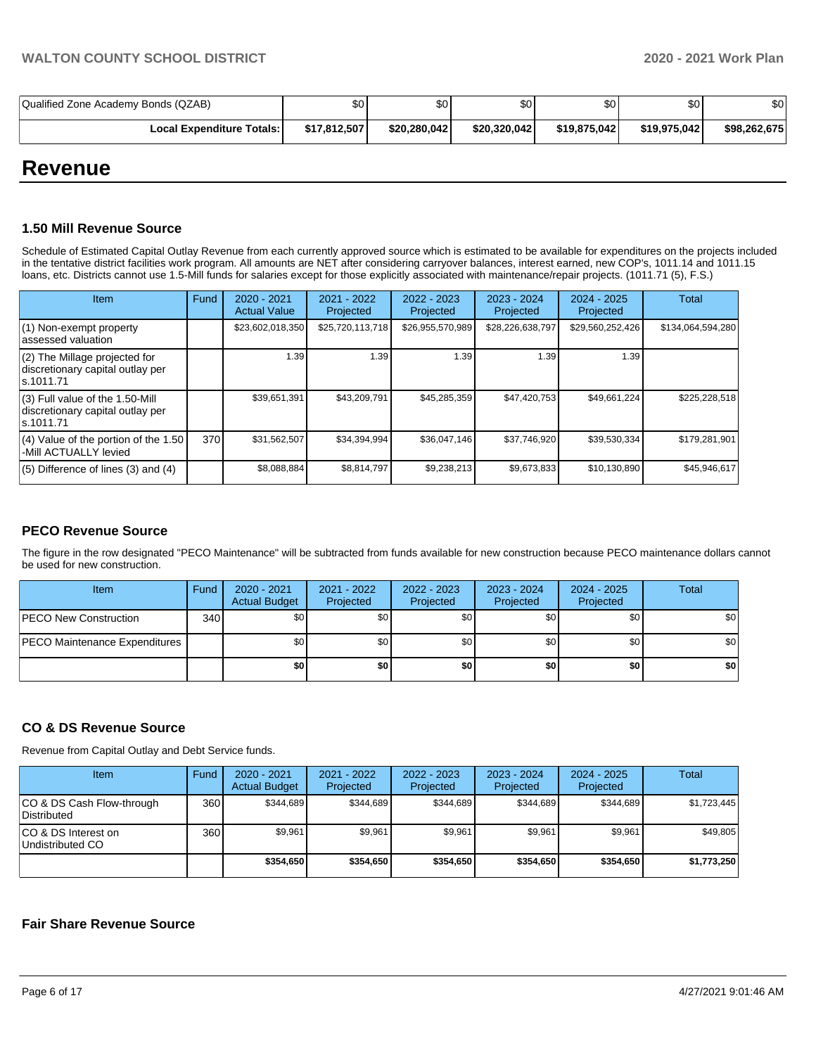| Qualified Zone Academy Bonds (QZAB) | \$0          | \$0          | \$0          | \$0 <sub>1</sub> | \$0          | \$0          |
|-------------------------------------|--------------|--------------|--------------|------------------|--------------|--------------|
| <b>Local Expenditure Totals: I</b>  | \$17,812,507 | \$20,280,042 | \$20,320,042 | \$19,875,042     | \$19,975,042 | \$98,262,675 |

# **Revenue**

# **1.50 Mill Revenue Source**

Schedule of Estimated Capital Outlay Revenue from each currently approved source which is estimated to be available for expenditures on the projects included in the tentative district facilities work program. All amounts are NET after considering carryover balances, interest earned, new COP's, 1011.14 and 1011.15 loans, etc. Districts cannot use 1.5-Mill funds for salaries except for those explicitly associated with maintenance/repair projects. (1011.71 (5), F.S.)

| Item                                                                                | Fund | $2020 - 2021$<br><b>Actual Value</b> | 2021 - 2022<br>Projected | $2022 - 2023$<br>Projected | 2023 - 2024<br>Projected | $2024 - 2025$<br>Projected | Total             |
|-------------------------------------------------------------------------------------|------|--------------------------------------|--------------------------|----------------------------|--------------------------|----------------------------|-------------------|
| (1) Non-exempt property<br>lassessed valuation                                      |      | \$23,602,018,350                     | \$25,720,113,718         | \$26,955,570,989           | \$28,226,638,797         | \$29,560,252,426           | \$134,064,594,280 |
| $(2)$ The Millage projected for<br>discretionary capital outlay per<br>ls.1011.71   |      | 1.39                                 | 1.39                     | 1.39                       | 1.39                     | 1.39                       |                   |
| $(3)$ Full value of the 1.50-Mill<br>discretionary capital outlay per<br>ls.1011.71 |      | \$39,651,391                         | \$43,209,791             | \$45,285,359               | \$47,420,753             | \$49.661.224               | \$225,228,518     |
| $(4)$ Value of the portion of the 1.50<br>-Mill ACTUALLY levied                     | 370  | \$31,562,507                         | \$34,394,994             | \$36,047,146               | \$37,746,920             | \$39,530,334               | \$179,281,901     |
| $(5)$ Difference of lines $(3)$ and $(4)$                                           |      | \$8,088,884                          | \$8,814,797              | \$9,238,213                | \$9,673,833              | \$10,130,890               | \$45,946,617      |

# **PECO Revenue Source**

The figure in the row designated "PECO Maintenance" will be subtracted from funds available for new construction because PECO maintenance dollars cannot be used for new construction.

| Item                                 | Fund | 2020 - 2021<br><b>Actual Budget</b> | 2021 - 2022<br>Projected | 2022 - 2023<br>Projected | 2023 - 2024<br>Projected | 2024 - 2025<br>Projected | <b>Total</b> |
|--------------------------------------|------|-------------------------------------|--------------------------|--------------------------|--------------------------|--------------------------|--------------|
| <b>PECO New Construction</b>         | 340  | \$0                                 | \$0 <sub>1</sub>         | \$0                      | \$0 <sub>1</sub>         | \$0                      | \$0          |
| <b>PECO Maintenance Expenditures</b> |      | \$0                                 | \$0 <sub>1</sub>         | \$0                      | \$0 <sub>1</sub>         | \$0                      | \$0          |
|                                      |      | \$0                                 | \$0                      | \$0                      | \$0                      | \$0                      | \$0          |

# **CO & DS Revenue Source**

Revenue from Capital Outlay and Debt Service funds.

| Item                                      | Fund | $2020 - 2021$<br><b>Actual Budget</b> | 2021 - 2022<br>Projected | $2022 - 2023$<br>Projected | $2023 - 2024$<br>Projected | $2024 - 2025$<br>Projected | Total       |
|-------------------------------------------|------|---------------------------------------|--------------------------|----------------------------|----------------------------|----------------------------|-------------|
| ICO & DS Cash Flow-through<br>Distributed | 360  | \$344.689                             | \$344.689                | \$344.689                  | \$344.689                  | \$344.689                  | \$1,723,445 |
| ICO & DS Interest on<br>Undistributed CO  | 360  | \$9.961                               | \$9.961                  | \$9.961                    | \$9.961                    | \$9.961                    | \$49,805    |
|                                           |      | \$354.650                             | \$354,650                | \$354.650                  | \$354.650                  | \$354.650                  | \$1,773,250 |

# **Fair Share Revenue Source**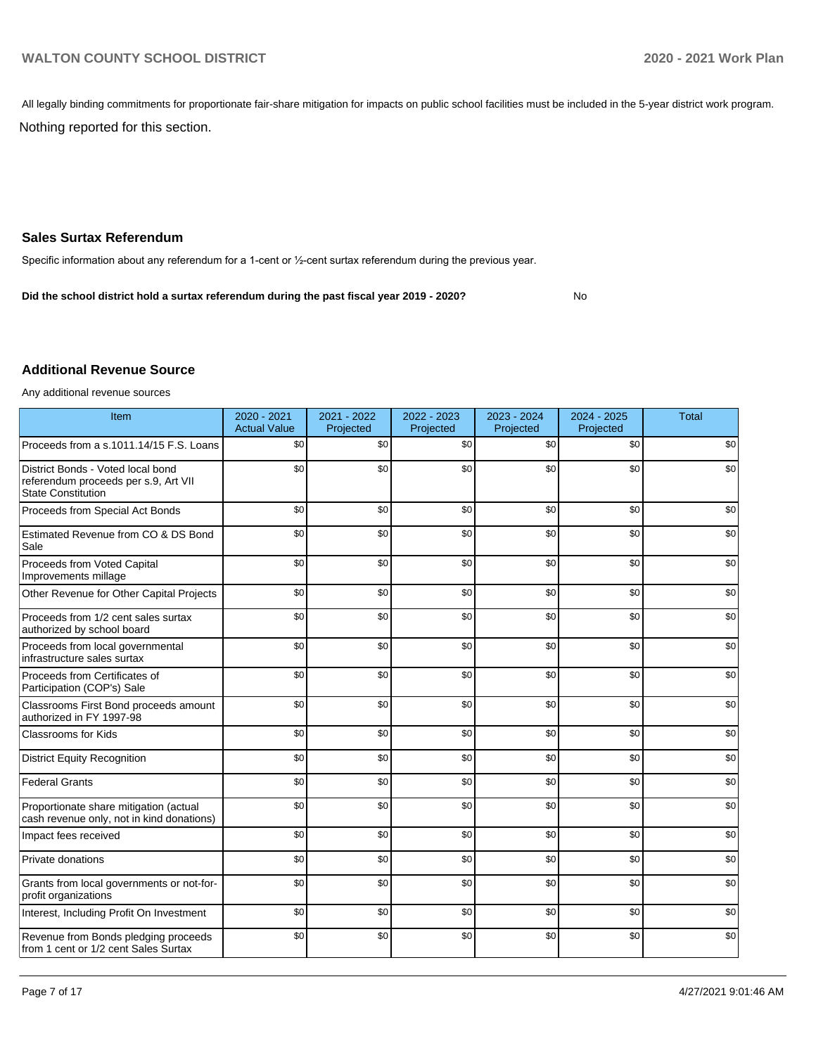All legally binding commitments for proportionate fair-share mitigation for impacts on public school facilities must be included in the 5-year district work program.

Nothing reported for this section.

# **Sales Surtax Referendum**

Specific information about any referendum for a 1-cent or ½-cent surtax referendum during the previous year.

No **Did the school district hold a surtax referendum during the past fiscal year 2019 - 2020?**

# **Additional Revenue Source**

Any additional revenue sources

| Item                                                                                                   | 2020 - 2021<br><b>Actual Value</b> | 2021 - 2022<br>Projected | 2022 - 2023<br>Projected | 2023 - 2024<br>Projected | 2024 - 2025<br>Projected | <b>Total</b> |
|--------------------------------------------------------------------------------------------------------|------------------------------------|--------------------------|--------------------------|--------------------------|--------------------------|--------------|
| Proceeds from a s.1011.14/15 F.S. Loans                                                                | \$0                                | \$0                      | \$0                      | \$0                      | \$0                      | \$0          |
| District Bonds - Voted local bond<br>referendum proceeds per s.9, Art VII<br><b>State Constitution</b> | \$0                                | \$0                      | \$0                      | \$0                      | \$0                      | \$0          |
| Proceeds from Special Act Bonds                                                                        | \$0                                | \$0                      | \$0                      | \$0                      | \$0                      | \$0          |
| Estimated Revenue from CO & DS Bond<br>Sale                                                            | \$0                                | \$0                      | \$0                      | \$0                      | \$0                      | \$0          |
| Proceeds from Voted Capital<br>Improvements millage                                                    | \$0                                | \$0                      | \$0                      | \$0                      | \$0                      | \$0          |
| Other Revenue for Other Capital Projects                                                               | \$0                                | \$0                      | \$0                      | \$0                      | \$0                      | \$0          |
| Proceeds from 1/2 cent sales surtax<br>authorized by school board                                      | \$0                                | \$0                      | \$0                      | \$0                      | \$0                      | \$0          |
| Proceeds from local governmental<br>infrastructure sales surtax                                        | \$0                                | \$0                      | \$0                      | \$0                      | \$0                      | \$0          |
| Proceeds from Certificates of<br>Participation (COP's) Sale                                            | \$0                                | \$0                      | \$0                      | \$0                      | \$0                      | \$0          |
| Classrooms First Bond proceeds amount<br>authorized in FY 1997-98                                      | \$0                                | \$0                      | \$0                      | \$0                      | \$0                      | \$0          |
| <b>Classrooms for Kids</b>                                                                             | \$0                                | \$0                      | \$0                      | \$0                      | \$0                      | \$0          |
| <b>District Equity Recognition</b>                                                                     | \$0                                | \$0                      | \$0                      | \$0                      | \$0                      | \$0          |
| <b>Federal Grants</b>                                                                                  | \$0                                | \$0                      | \$0                      | \$0                      | \$0                      | \$0          |
| Proportionate share mitigation (actual<br>cash revenue only, not in kind donations)                    | \$0                                | \$0                      | \$0                      | \$0                      | \$0                      | \$0          |
| Impact fees received                                                                                   | \$0                                | \$0                      | \$0                      | \$0                      | \$0                      | \$0          |
| Private donations                                                                                      | \$0                                | \$0                      | \$0                      | \$0                      | \$0                      | \$0          |
| Grants from local governments or not-for-<br>profit organizations                                      | \$0                                | \$0                      | \$0                      | \$0                      | \$0                      | \$0          |
| Interest, Including Profit On Investment                                                               | \$0                                | \$0                      | \$0                      | \$0                      | \$0                      | \$0          |
| Revenue from Bonds pledging proceeds<br>from 1 cent or 1/2 cent Sales Surtax                           | \$0                                | \$0                      | \$0                      | \$0                      | \$0                      | \$0          |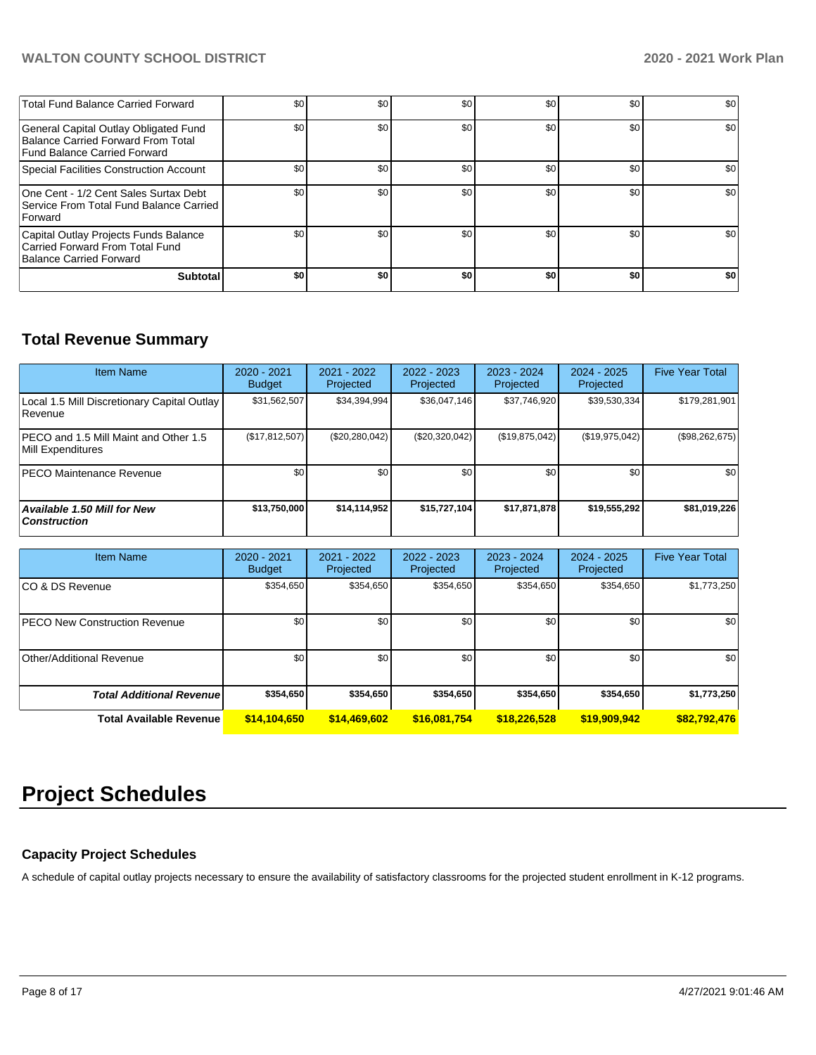| <b>Total Fund Balance Carried Forward</b>                                                                   | \$0 | \$0 | \$0 | \$0 | \$0 | \$0 |
|-------------------------------------------------------------------------------------------------------------|-----|-----|-----|-----|-----|-----|
| General Capital Outlay Obligated Fund<br>Balance Carried Forward From Total<br>Fund Balance Carried Forward | \$0 | \$0 | \$0 | \$0 | \$0 | \$0 |
| Special Facilities Construction Account                                                                     | \$0 | \$0 | \$0 | \$0 | \$0 | \$0 |
| One Cent - 1/2 Cent Sales Surtax Debt<br>Service From Total Fund Balance Carried<br>Forward                 | \$0 | \$0 | \$0 | \$0 | \$0 | \$0 |
| Capital Outlay Projects Funds Balance<br>Carried Forward From Total Fund<br>Balance Carried Forward         | \$0 | \$0 | \$0 | \$0 | \$0 | \$0 |
| <b>Subtotal</b>                                                                                             | \$0 | \$0 | \$0 | \$0 | \$0 | \$0 |

# **Total Revenue Summary**

| <b>Item Name</b>                                                  | $2020 - 2021$<br><b>Budget</b> | 2021 - 2022<br>Projected | 2022 - 2023<br>Projected | 2023 - 2024<br>Projected | 2024 - 2025<br>Projected | <b>Five Year Total</b> |
|-------------------------------------------------------------------|--------------------------------|--------------------------|--------------------------|--------------------------|--------------------------|------------------------|
| Local 1.5 Mill Discretionary Capital Outlay<br>Revenue            | \$31,562,507                   | \$34,394,994             | \$36,047,146             | \$37,746,920             | \$39,530,334             | \$179,281,901          |
| <b>PECO</b> and 1.5 Mill Maint and Other 1.5<br>Mill Expenditures | (\$17,812,507)                 | (\$20,280,042)           | (\$20,320,042)           | (\$19,875,042)           | (\$19,975,042)           | (\$98,262,675)         |
| <b>PECO Maintenance Revenue</b>                                   | \$0                            | \$0                      | \$0                      | \$0 <sub>1</sub>         | \$0                      | \$0                    |
| <b>Available 1.50 Mill for New</b><br><b>Construction</b>         | \$13,750,000                   | \$14,114,952             | \$15,727,104             | \$17,871,878             | \$19,555,292             | \$81,019,226           |

| <b>Item Name</b>                     | $2020 - 2021$<br><b>Budget</b> | $2021 - 2022$<br>Projected | $2022 - 2023$<br>Projected | 2023 - 2024<br>Projected | $2024 - 2025$<br>Projected | <b>Five Year Total</b> |  |
|--------------------------------------|--------------------------------|----------------------------|----------------------------|--------------------------|----------------------------|------------------------|--|
| ICO & DS Revenue                     | \$354,650                      | \$354,650                  | \$354,650                  | \$354,650                | \$354,650                  | \$1,773,250            |  |
| <b>PECO New Construction Revenue</b> | \$0                            | \$0                        | \$0                        | \$0                      | \$0                        | \$0                    |  |
| Other/Additional Revenue             | \$0                            | \$0 <sub>1</sub>           | \$0                        | \$0                      | \$0                        | \$0                    |  |
| <b>Total Additional Revenue</b>      | \$354.650                      | \$354.650                  | \$354.650                  | \$354,650                | \$354.650                  | \$1,773,250            |  |
| <b>Total Available Revenue</b>       | \$14,104,650                   | \$14,469,602               | \$16,081,754               | \$18,226,528             | \$19,909,942               | \$82,792,476           |  |

# **Project Schedules**

# **Capacity Project Schedules**

A schedule of capital outlay projects necessary to ensure the availability of satisfactory classrooms for the projected student enrollment in K-12 programs.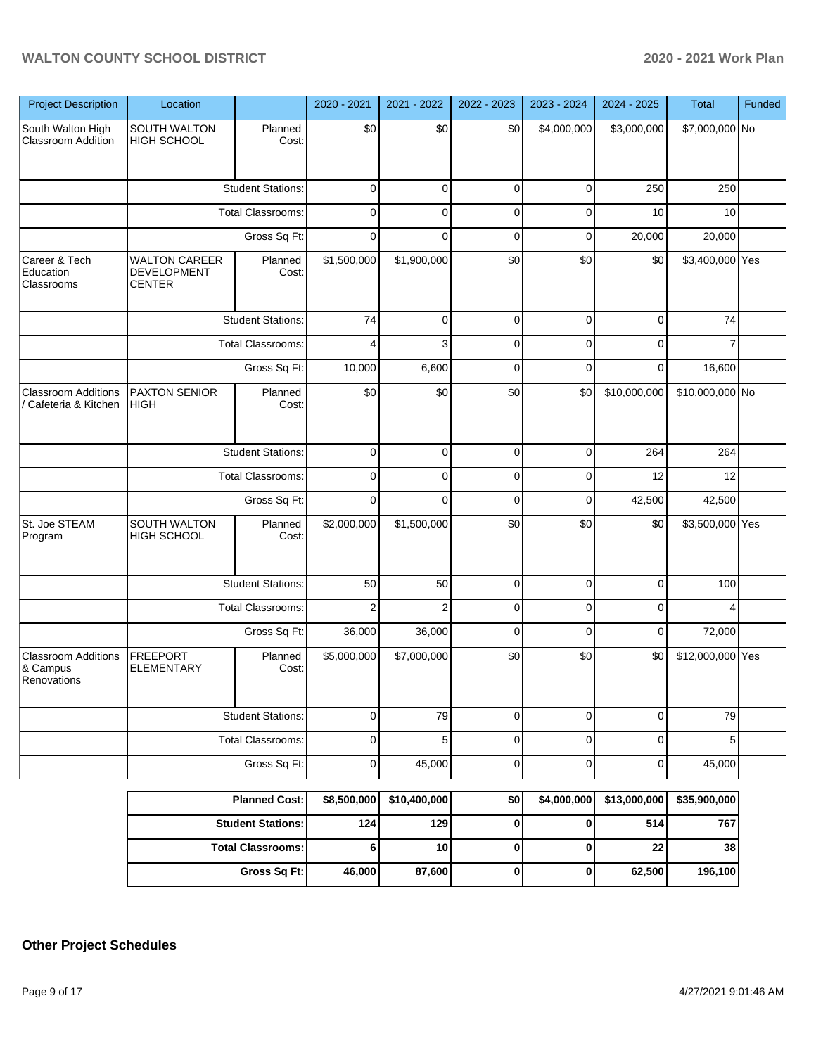| <b>Project Description</b>                            | Location                                                    |                          | 2020 - 2021    | 2021 - 2022    | 2022 - 2023 | 2023 - 2024 | 2024 - 2025  | <b>Total</b>     | Funded |
|-------------------------------------------------------|-------------------------------------------------------------|--------------------------|----------------|----------------|-------------|-------------|--------------|------------------|--------|
| South Walton High<br><b>Classroom Addition</b>        | SOUTH WALTON<br><b>HIGH SCHOOL</b>                          | Planned<br>Cost:         | \$0            | \$0            | \$0         | \$4,000,000 | \$3,000,000  | \$7,000,000 No   |        |
|                                                       |                                                             | <b>Student Stations:</b> | 0              | $\Omega$       | $\mathbf 0$ | $\Omega$    | 250          | 250              |        |
|                                                       | Total Classrooms:                                           |                          | $\Omega$       | $\Omega$       | 0           | $\Omega$    | 10           | 10               |        |
|                                                       | Gross Sq Ft:                                                |                          | $\Omega$       | $\Omega$       | $\Omega$    | $\Omega$    | 20,000       | 20,000           |        |
| Career & Tech<br>Education<br>Classrooms              | <b>WALTON CAREER</b><br><b>DEVELOPMENT</b><br><b>CENTER</b> | Planned<br>Cost:         | \$1,500,000    | \$1,900,000    | \$0         | \$0         | \$0          | \$3,400,000 Yes  |        |
|                                                       |                                                             | <b>Student Stations:</b> | 74             | $\Omega$       | $\mathbf 0$ | 0           | 0            | 74               |        |
|                                                       |                                                             | Total Classrooms:        | 4              | 3              | $\Omega$    | $\Omega$    | $\Omega$     |                  |        |
|                                                       |                                                             | Gross Sq Ft:             | 10,000         | 6,600          | $\Omega$    | 0           | $\Omega$     | 16,600           |        |
| <b>Classroom Additions</b><br>/ Cafeteria & Kitchen   | <b>PAXTON SENIOR</b><br><b>HIGH</b>                         | Planned<br>Cost:         | \$0            | \$0            | \$0         | \$0         | \$10,000,000 | \$10,000,000 No  |        |
|                                                       | <b>Student Stations:</b>                                    |                          | 0              | $\Omega$       | $\mathbf 0$ | $\Omega$    | 264          | 264              |        |
|                                                       | Total Classrooms:                                           |                          | 0              | $\Omega$       | 0           | $\Omega$    | 12           | 12               |        |
|                                                       | Gross Sq Ft:                                                |                          | $\Omega$       | $\Omega$       | $\Omega$    | $\Omega$    | 42,500       | 42,500           |        |
| St. Joe STEAM<br>Program                              | SOUTH WALTON<br>HIGH SCHOOL                                 | Planned<br>Cost:         | \$2,000,000    | \$1,500,000    | \$0         | \$0         | \$0          | \$3,500,000 Yes  |        |
|                                                       |                                                             | <b>Student Stations:</b> | 50             | 50             | $\mathbf 0$ | $\Omega$    | $\Omega$     | 100              |        |
|                                                       |                                                             | Total Classrooms:        | $\overline{2}$ | $\overline{2}$ | 0           | $\Omega$    | $\Omega$     | 4                |        |
|                                                       |                                                             | Gross Sq Ft:             | 36,000         | 36,000         | $\Omega$    | $\Omega$    | $\mathbf 0$  | 72,000           |        |
| <b>Classroom Additions</b><br>& Campus<br>Renovations | <b>FREEPORT</b><br><b>ELEMENTARY</b>                        | Planned<br>Cost:         | \$5,000,000    | \$7,000,000    | \$0         | \$0         | \$0          | \$12,000,000 Yes |        |
|                                                       |                                                             | <b>Student Stations:</b> | 0              | 79             | $\mathbf 0$ | 0           | 0            | 79               |        |
|                                                       |                                                             | Total Classrooms:        | 0              | 5              | 0           | 0           | 0            | 5                |        |
|                                                       |                                                             | Gross Sq Ft:             | $\mathbf 0$    | 45,000         | $\pmb{0}$   | 0           | $\pmb{0}$    | 45,000           |        |
|                                                       |                                                             | <b>Planned Cost:</b>     | \$8,500,000    | \$10,400,000   | \$0         | \$4,000,000 | \$13,000,000 | \$35,900,000     |        |
|                                                       |                                                             | <b>Student Stations:</b> | 124            | 129            | 0           | 0           | 514          | 767              |        |
|                                                       |                                                             | <b>Total Classrooms:</b> | 6              | $10$           | $\pmb{0}$   | $\pmb{0}$   | ${\bf 22}$   | 38               |        |

**Gross Sq Ft: 46,000 87,600 0 0 62,500 196,100**

# **Other Project Schedules**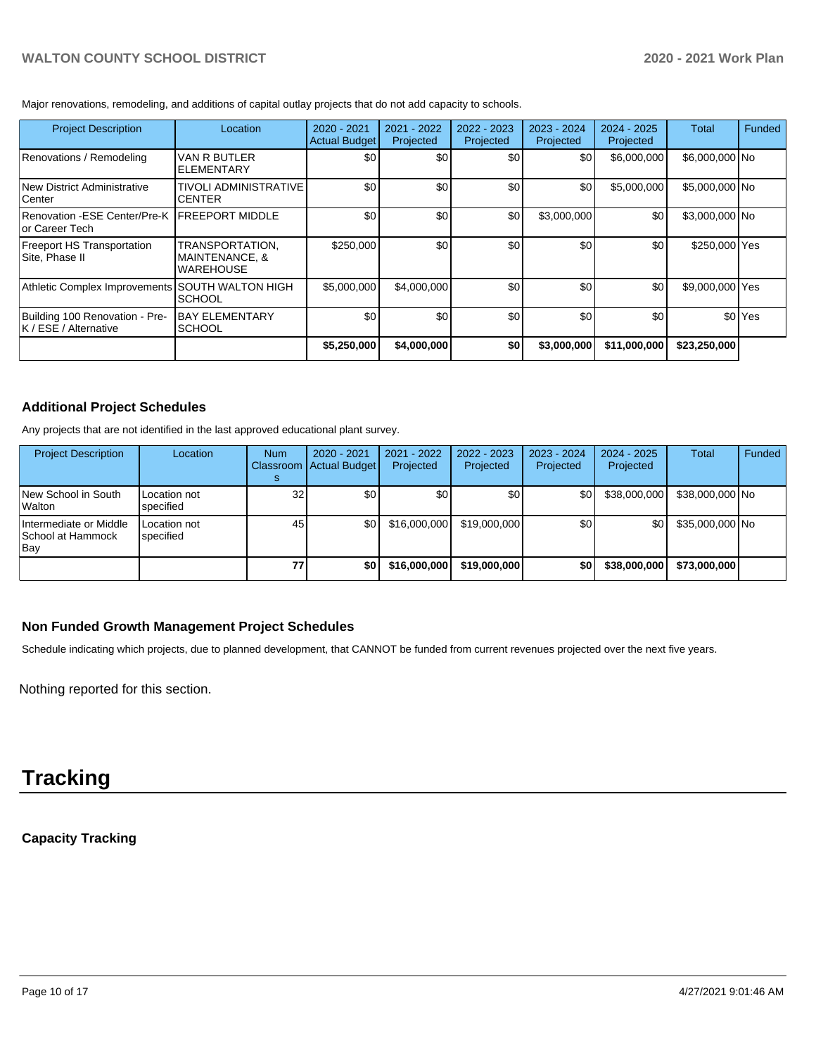Major renovations, remodeling, and additions of capital outlay projects that do not add capacity to schools.

| <b>Project Description</b>                                      | Location                                                         | 2020 - 2021<br><b>Actual Budget</b> | 2021 - 2022<br>Projected | $2022 - 2023$<br>Projected | 2023 - 2024<br>Projected | $2024 - 2025$<br>Projected | Total           | Funded             |
|-----------------------------------------------------------------|------------------------------------------------------------------|-------------------------------------|--------------------------|----------------------------|--------------------------|----------------------------|-----------------|--------------------|
| Renovations / Remodeling                                        | VAN R BUTLER<br><b>ELEMENTARY</b>                                | ا 30                                | \$0                      | \$0                        | \$0                      | \$6,000,000                | \$6,000,000 No  |                    |
| New District Administrative<br>Center                           | <b>TIVOLI ADMINISTRATIVE</b><br><b>CENTER</b>                    | \$0                                 | \$0                      | \$0                        | \$0                      | \$5,000,000                | \$5,000,000 No  |                    |
| Renovation -ESE Center/Pre-K IFREEPORT MIDDLE<br>or Career Tech |                                                                  | \$0                                 | \$0                      | \$0                        | \$3,000,000              | \$0                        | \$3,000,000 No  |                    |
| <b>Freeport HS Transportation</b><br>Site, Phase II             | TRANSPORTATION.<br><b>MAINTENANCE, &amp;</b><br><b>WAREHOUSE</b> | \$250,000                           | \$0                      | \$0                        | \$0                      | \$0                        | \$250,000 Yes   |                    |
| Athletic Complex Improvements                                   | <b>SOUTH WALTON HIGH</b><br><b>SCHOOL</b>                        | \$5,000,000                         | \$4,000,000              | \$0                        | \$0                      | \$0                        | \$9,000,000 Yes |                    |
| Building 100 Renovation - Pre-<br>K / ESE / Alternative         | <b>BAY ELEMENTARY</b><br><b>SCHOOL</b>                           | \$0                                 | \$0                      | \$0                        | \$0                      | \$0                        |                 | \$0 <sup>Yes</sup> |
|                                                                 |                                                                  | \$5,250,000                         | \$4,000,000              | \$0                        | \$3,000,000              | \$11,000,000               | \$23,250,000    |                    |

# **Additional Project Schedules**

Any projects that are not identified in the last approved educational plant survey.

| <b>Project Description</b>                         | Location                  | <b>Num</b>      | 2020 - 2021<br>Classroom Actual Budget | 2021 - 2022<br>Projected | $2022 - 2023$<br>Projected | 2023 - 2024<br>Projected | $2024 - 2025$<br>Projected | <b>Total</b>    | Funded |
|----------------------------------------------------|---------------------------|-----------------|----------------------------------------|--------------------------|----------------------------|--------------------------|----------------------------|-----------------|--------|
| New School in South<br>Walton                      | Location not<br>specified | 32 <sub>l</sub> | \$0                                    | ا 30                     | \$0                        | \$0                      | \$38,000,000               | \$38,000,000 No |        |
| Intermediate or Middle<br>School at Hammock<br>Bay | Location not<br>specified | 45              | ا 30                                   | \$16,000,000             | \$19,000,000               | \$0                      | \$0                        | \$35,000,000 No |        |
|                                                    |                           | 77              | \$0                                    | \$16,000,000             | \$19,000,000               | \$0                      | \$38,000,000               | \$73,000,000    |        |

# **Non Funded Growth Management Project Schedules**

Schedule indicating which projects, due to planned development, that CANNOT be funded from current revenues projected over the next five years.

Nothing reported for this section.

# **Tracking**

# **Capacity Tracking**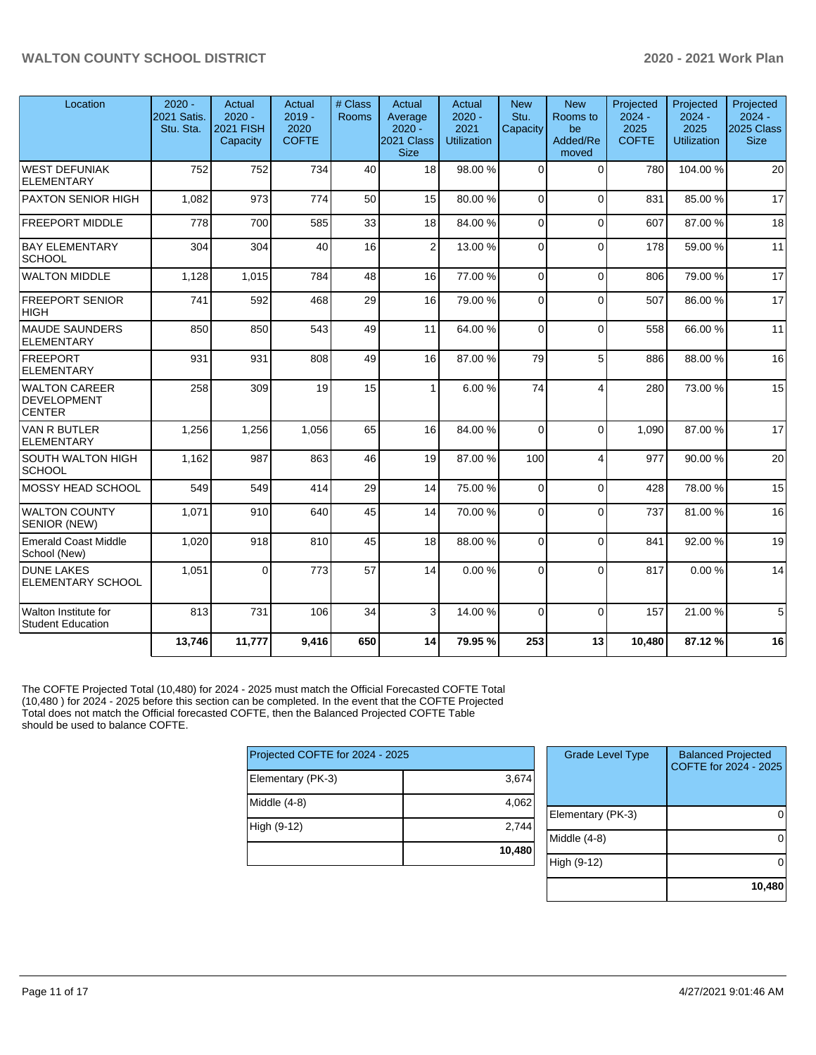| Location                                             | $2020 -$<br>2021 Satis.<br>Stu. Sta. | Actual<br>$2020 -$<br><b>2021 FISH</b><br>Capacity | Actual<br>$2019 -$<br>2020<br><b>COFTE</b> | # Class<br>Rooms | Actual<br>Average<br>$2020 -$<br>2021 Class<br><b>Size</b> | Actual<br>$2020 -$<br>2021<br><b>Utilization</b> | <b>New</b><br>Stu.<br>Capacity | <b>New</b><br>Rooms to<br>be<br>Added/Re<br>moved | Projected<br>$2024 -$<br>2025<br><b>COFTE</b> | Projected<br>$2024 -$<br>2025<br><b>Utilization</b> | Projected<br>$2024 -$<br><b>2025 Class</b><br><b>Size</b> |
|------------------------------------------------------|--------------------------------------|----------------------------------------------------|--------------------------------------------|------------------|------------------------------------------------------------|--------------------------------------------------|--------------------------------|---------------------------------------------------|-----------------------------------------------|-----------------------------------------------------|-----------------------------------------------------------|
| WEST DEFUNIAK<br><b>ELEMENTARY</b>                   | 752                                  | 752                                                | 734                                        | 40               | 18                                                         | 98.00 %                                          | $\Omega$                       | $\Omega$                                          | 780                                           | 104.00%                                             | 20                                                        |
| <b>PAXTON SENIOR HIGH</b>                            | 1,082                                | 973                                                | 774                                        | 50               | 15                                                         | 80.00%                                           | $\Omega$                       | 0                                                 | 831                                           | 85.00 %                                             | 17                                                        |
| <b>FREEPORT MIDDLE</b>                               | 778                                  | 700                                                | 585                                        | 33               | 18                                                         | 84.00%                                           | $\Omega$                       | $\Omega$                                          | 607                                           | 87.00 %                                             | 18                                                        |
| <b>BAY ELEMENTARY</b><br><b>SCHOOL</b>               | 304                                  | 304                                                | 40                                         | 16               | $\overline{2}$                                             | 13.00 %                                          | $\Omega$                       | $\Omega$                                          | 178                                           | 59.00 %                                             | 11                                                        |
| <b>WALTON MIDDLE</b>                                 | 1,128                                | 1,015                                              | 784                                        | 48               | 16                                                         | 77.00 %                                          | $\Omega$                       | $\Omega$                                          | 806                                           | 79.00 %                                             | 17                                                        |
| <b>FREEPORT SENIOR</b><br> HIGH                      | 741                                  | 592                                                | 468                                        | 29               | 16                                                         | 79.00%                                           | $\Omega$                       | $\Omega$                                          | 507                                           | 86.00%                                              | 17                                                        |
| MAUDE SAUNDERS<br><b>ELEMENTARY</b>                  | 850                                  | 850                                                | 543                                        | 49               | 11                                                         | 64.00 %                                          | $\Omega$                       | $\Omega$                                          | 558                                           | 66.00 %                                             | 11                                                        |
| <b>FREEPORT</b><br><b>ELEMENTARY</b>                 | 931                                  | 931                                                | 808                                        | 49               | 16                                                         | 87.00 %                                          | 79                             | 5                                                 | 886                                           | 88.00 %                                             | 16                                                        |
| WALTON CAREER<br><b>DEVELOPMENT</b><br><b>CENTER</b> | 258                                  | 309                                                | 19                                         | 15               | 1                                                          | 6.00%                                            | 74                             | $\overline{4}$                                    | 280                                           | 73.00 %                                             | 15                                                        |
| <b>VAN R BUTLER</b><br><b>ELEMENTARY</b>             | 1,256                                | 1,256                                              | 1,056                                      | 65               | 16                                                         | 84.00 %                                          | $\Omega$                       | $\Omega$                                          | 1.090                                         | 87.00 %                                             | 17                                                        |
| <b>SOUTH WALTON HIGH</b><br>SCHOOL                   | 1,162                                | 987                                                | 863                                        | 46               | 19                                                         | 87.00 %                                          | 100                            | $\overline{4}$                                    | 977                                           | 90.00 %                                             | 20                                                        |
| MOSSY HEAD SCHOOL                                    | 549                                  | 549                                                | 414                                        | 29               | 14                                                         | 75.00 %                                          | $\Omega$                       | $\Omega$                                          | 428                                           | 78.00 %                                             | 15                                                        |
| <b>WALTON COUNTY</b><br><b>SENIOR (NEW)</b>          | 1,071                                | 910                                                | 640                                        | 45               | 14                                                         | 70.00 %                                          | $\Omega$                       | $\Omega$                                          | 737                                           | 81.00%                                              | 16                                                        |
| <b>Emerald Coast Middle</b><br>School (New)          | 1,020                                | 918                                                | 810                                        | 45               | 18                                                         | 88.00 %                                          | $\Omega$                       | $\Omega$                                          | 841                                           | 92.00 %                                             | 19                                                        |
| <b>DUNE LAKES</b><br><b>ELEMENTARY SCHOOL</b>        | 1.051                                | $\Omega$                                           | 773                                        | 57               | 14                                                         | 0.00%                                            | $\Omega$                       | $\Omega$                                          | 817                                           | 0.00%                                               | 14                                                        |
| Walton Institute for<br><b>Student Education</b>     | 813                                  | 731                                                | 106                                        | 34               | 3                                                          | 14.00%                                           | $\Omega$                       | $\Omega$                                          | 157                                           | 21.00%                                              | 5 <sup>1</sup>                                            |
|                                                      | 13,746                               | 11,777                                             | 9,416                                      | 650              | 14                                                         | 79.95%                                           | 253                            | 13                                                | 10,480                                        | 87.12%                                              | 16                                                        |

The COFTE Projected Total (10,480) for 2024 - 2025 must match the Official Forecasted COFTE Total (10,480 ) for 2024 - 2025 before this section can be completed. In the event that the COFTE Projected Total does not match the Official forecasted COFTE, then the Balanced Projected COFTE Table should be used to balance COFTE.

| Projected COFTE for 2024 - 2025 |        |
|---------------------------------|--------|
| Elementary (PK-3)               | 3,674  |
| Middle (4-8)                    | 4,062  |
| High (9-12)                     | 2,744  |
|                                 | 10,480 |

| <b>Grade Level Type</b> | <b>Balanced Projected</b><br>COFTE for 2024 - 2025 |
|-------------------------|----------------------------------------------------|
| Elementary (PK-3)       |                                                    |
| Middle (4-8)            |                                                    |
| High (9-12)             |                                                    |
|                         | 10,480                                             |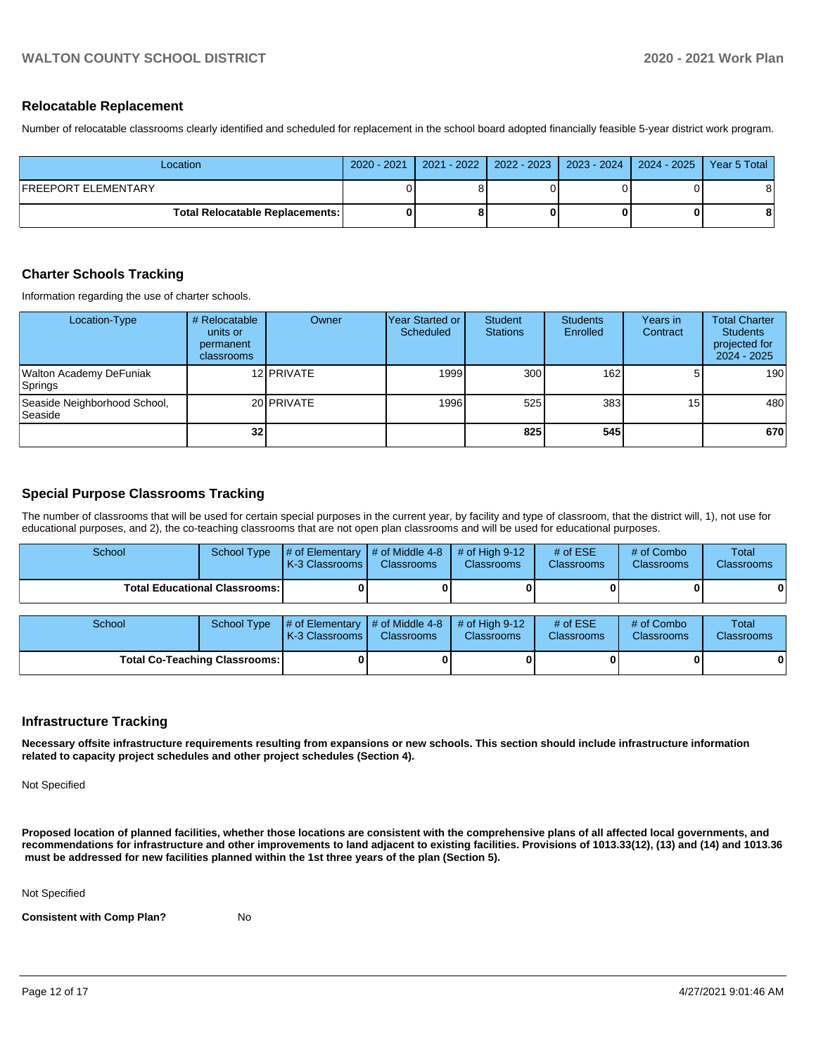#### **Relocatable Replacement**

Number of relocatable classrooms clearly identified and scheduled for replacement in the school board adopted financially feasible 5-year district work program.

| Location                               | 2020 - 2021 |  | 2021 - 2022   2022 - 2023   2023 - 2024   2024 - 2025   Year 5 Total |   |
|----------------------------------------|-------------|--|----------------------------------------------------------------------|---|
| FREEPORT ELEMENTARY                    |             |  |                                                                      | 8 |
| <b>Total Relocatable Replacements:</b> |             |  |                                                                      | 8 |

# **Charter Schools Tracking**

Information regarding the use of charter schools.

| Location-Type                                  | # Relocatable<br>units or<br>permanent<br>classrooms | Owner      | lYear Started or<br>Scheduled | Student<br><b>Stations</b> | <b>Students</b><br>Enrolled | Years in<br>Contract | <b>Total Charter</b><br><b>Students</b><br>projected for<br>$2024 - 2025$ |
|------------------------------------------------|------------------------------------------------------|------------|-------------------------------|----------------------------|-----------------------------|----------------------|---------------------------------------------------------------------------|
| <b>Walton Academy DeFuniak</b><br>Springs      |                                                      | 12 PRIVATE | 1999                          | 300 <sup>1</sup>           | 162                         | 5.                   | 190                                                                       |
| Seaside Neighborhood School,<br><b>Seaside</b> |                                                      | 20 PRIVATE | 1996                          | 525                        | 383                         | 15 <sub>l</sub>      | 480                                                                       |
|                                                | 32 <sub>l</sub>                                      |            |                               | 825                        | 545                         |                      | 670                                                                       |

# **Special Purpose Classrooms Tracking**

The number of classrooms that will be used for certain special purposes in the current year, by facility and type of classroom, that the district will, 1), not use for educational purposes, and 2), the co-teaching classrooms that are not open plan classrooms and will be used for educational purposes.

| School                                 |  | School Type $\parallel \#$ of Elementary $\parallel \#$ of Middle 4-8 $\parallel \#$ of High 9-12<br>K-3 Classrooms | <b>Classrooms</b> | <b>Classrooms</b> | # of $ESE$<br><b>Classrooms</b> | # of Combo<br><b>Classrooms</b> | Total<br><b>Classrooms</b> |
|----------------------------------------|--|---------------------------------------------------------------------------------------------------------------------|-------------------|-------------------|---------------------------------|---------------------------------|----------------------------|
| <b>Total Educational Classrooms: I</b> |  |                                                                                                                     |                   |                   |                                 |                                 | 0                          |

| <b>School</b>                        |  | School Type $\left  \frac{1}{2}$ of Elementary $\left  \frac{1}{2}$ of Middle 4-8 $\right $ # of High 9-12<br><b>K-3 Classrooms</b> | <b>Classrooms</b> | <b>Classrooms</b> | # of $ESE$<br><b>Classrooms</b> | # of Combo<br><b>Classrooms</b> | Total<br><b>Classrooms</b> |
|--------------------------------------|--|-------------------------------------------------------------------------------------------------------------------------------------|-------------------|-------------------|---------------------------------|---------------------------------|----------------------------|
| <b>Total Co-Teaching Classrooms:</b> |  |                                                                                                                                     |                   |                   |                                 |                                 |                            |

# **Infrastructure Tracking**

**Necessary offsite infrastructure requirements resulting from expansions or new schools. This section should include infrastructure information related to capacity project schedules and other project schedules (Section 4).** 

Not Specified

**Proposed location of planned facilities, whether those locations are consistent with the comprehensive plans of all affected local governments, and recommendations for infrastructure and other improvements to land adjacent to existing facilities. Provisions of 1013.33(12), (13) and (14) and 1013.36 must be addressed for new facilities planned within the 1st three years of the plan (Section 5).** 

Not Specified

**Consistent with Comp Plan?** No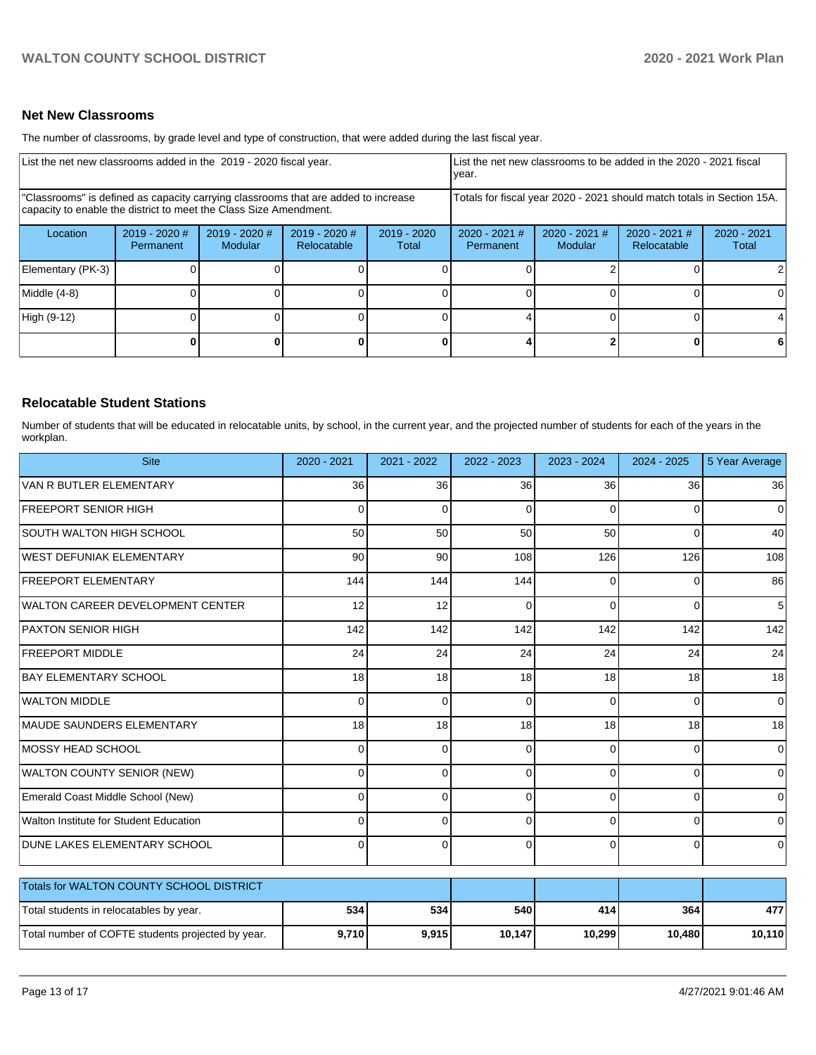# **Net New Classrooms**

The number of classrooms, by grade level and type of construction, that were added during the last fiscal year.

| List the net new classrooms added in the 2019 - 2020 fiscal year.                                                                                       | List the net new classrooms to be added in the 2020 - 2021 fiscal<br>vear. |                                 |                              |                        |                            |                          |                                                                        |                        |
|---------------------------------------------------------------------------------------------------------------------------------------------------------|----------------------------------------------------------------------------|---------------------------------|------------------------------|------------------------|----------------------------|--------------------------|------------------------------------------------------------------------|------------------------|
| "Classrooms" is defined as capacity carrying classrooms that are added to increase<br>capacity to enable the district to meet the Class Size Amendment. |                                                                            |                                 |                              |                        |                            |                          | Totals for fiscal year 2020 - 2021 should match totals in Section 15A. |                        |
| Location                                                                                                                                                | 2019 - 2020 #<br>Permanent                                                 | 2019 - 2020 #<br><b>Modular</b> | 2019 - 2020 #<br>Relocatable | $2019 - 2020$<br>Total | 2020 - 2021 #<br>Permanent | 2020 - 2021 #<br>Modular | 2020 - 2021 #<br>Relocatable                                           | $2020 - 2021$<br>Total |
| Elementary (PK-3)                                                                                                                                       |                                                                            |                                 |                              |                        |                            |                          |                                                                        |                        |
| Middle (4-8)                                                                                                                                            |                                                                            |                                 |                              |                        |                            |                          |                                                                        |                        |
| High (9-12)                                                                                                                                             |                                                                            |                                 |                              |                        |                            |                          | $\Omega$                                                               |                        |
|                                                                                                                                                         |                                                                            |                                 |                              |                        |                            |                          | 0                                                                      |                        |

# **Relocatable Student Stations**

Number of students that will be educated in relocatable units, by school, in the current year, and the projected number of students for each of the years in the workplan.

| <b>Site</b>                                       | 2020 - 2021    | 2021 - 2022 | 2022 - 2023 | 2023 - 2024    | 2024 - 2025 | 5 Year Average |
|---------------------------------------------------|----------------|-------------|-------------|----------------|-------------|----------------|
| VAN R BUTLER ELEMENTARY                           | 36             | 36          | 36          | 36             | 36          | 36             |
| <b>FREEPORT SENIOR HIGH</b>                       | $\Omega$       | $\Omega$    | O           | $\Omega$       | $\Omega$    | 0              |
| <b>SOUTH WALTON HIGH SCHOOL</b>                   | 50             | 50          | 50          | 50             | $\Omega$    | 40             |
| WEST DEFUNIAK ELEMENTARY                          | 90             | 90          | 108         | 126            | 126         | 108            |
| <b>FREEPORT ELEMENTARY</b>                        | 144            | 144         | 144         | $\Omega$       | $\Omega$    | 86             |
| <b>WALTON CAREER DEVELOPMENT CENTER</b>           | 12             | 12          | $\Omega$    | $\Omega$       | $\Omega$    | 5              |
| PAXTON SENIOR HIGH                                | 142            | 142         | 142         | 142            | 142         | 142            |
| <b>FREEPORT MIDDLE</b>                            | 24             | 24          | 24          | 24             | 24          | 24             |
| <b>BAY ELEMENTARY SCHOOL</b>                      | 18             | 18          | 18          | 18             | 18          | 18             |
| <b>WALTON MIDDLE</b>                              | $\Omega$       | $\Omega$    | $\Omega$    | $\Omega$       | $\Omega$    | 0              |
| <b>MAUDE SAUNDERS ELEMENTARY</b>                  | 18             | 18          | 18          | 18             | 18          | 18             |
| MOSSY HEAD SCHOOL                                 | 0              | $\Omega$    | 0           | $\Omega$       | $\Omega$    | $\Omega$       |
| WALTON COUNTY SENIOR (NEW)                        | 0              | $\Omega$    | $\Omega$    | $\Omega$       | $\Omega$    | $\Omega$       |
| Emerald Coast Middle School (New)                 | 0              | $\Omega$    | 0           | $\Omega$       | $\Omega$    | $\overline{0}$ |
| Walton Institute for Student Education            | 0              | $\Omega$    | $\Omega$    | $\Omega$       | $\Omega$    | 0              |
| DUNE LAKES ELEMENTARY SCHOOL                      | $\overline{0}$ | $\mathbf 0$ | 0           | $\overline{0}$ | 0           | $\overline{0}$ |
| Totals for WALTON COUNTY SCHOOL DISTRICT          |                |             |             |                |             |                |
| Total students in relocatables by year.           | 534            | 534         | 540         | 414            | 364         | 477            |
| Total number of COFTE students projected by year. | 9,710          | 9,915       | 10,147      | 10,299         | 10,480      | 10,110         |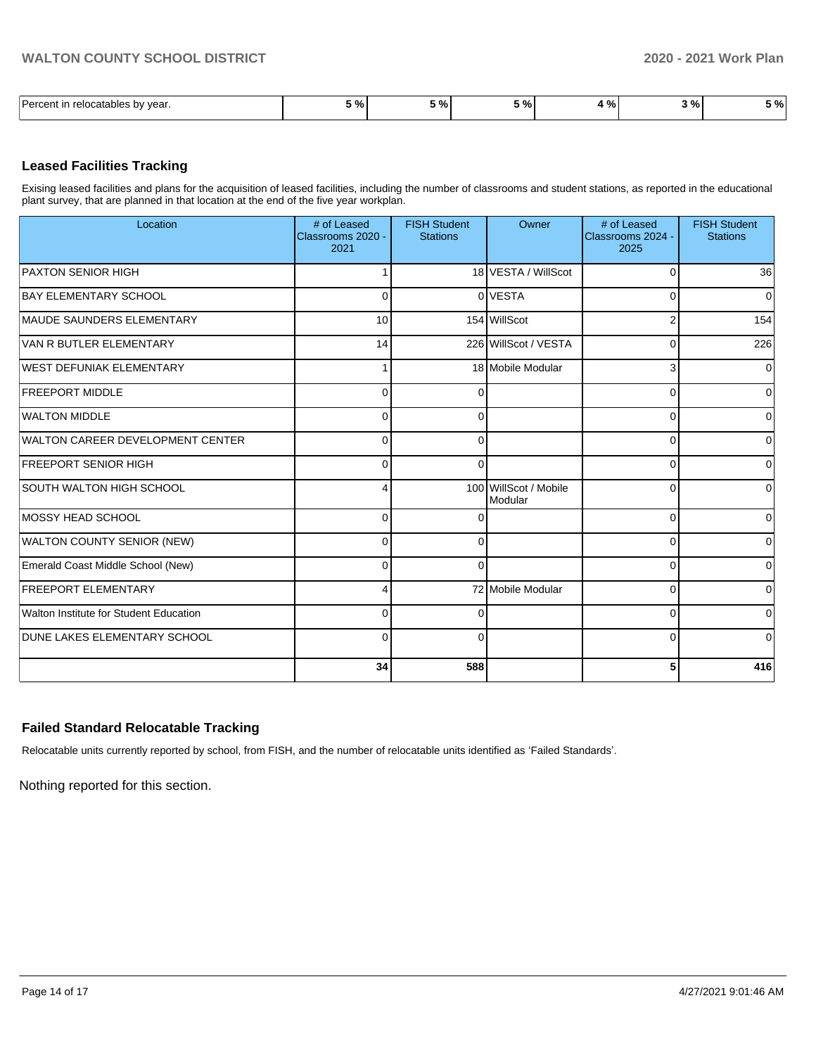| Darcont<br>relocatables by<br>vear. | $^{\prime}$ 0/<br>,,,, | ----<br>70. | - 04<br>- - - | $\mathbf{r}$<br>70 I | . o/<br>7٥ | $\cdots$<br>70 I |
|-------------------------------------|------------------------|-------------|---------------|----------------------|------------|------------------|

# **Leased Facilities Tracking**

Exising leased facilities and plans for the acquisition of leased facilities, including the number of classrooms and student stations, as reported in the educational plant survey, that are planned in that location at the end of the five year workplan.

| Location                                | # of Leased<br>Classrooms 2020 -<br>2021 | <b>FISH Student</b><br><b>Stations</b> | Owner                            | # of Leased<br>Classrooms 2024 -<br>2025 | <b>FISH Student</b><br><b>Stations</b> |
|-----------------------------------------|------------------------------------------|----------------------------------------|----------------------------------|------------------------------------------|----------------------------------------|
| <b>PAXTON SENIOR HIGH</b>               |                                          |                                        | 18 VESTA / WillScot              | C                                        | 36                                     |
| <b>BAY ELEMENTARY SCHOOL</b>            | $\Omega$                                 |                                        | 0 VESTA                          | C                                        | $\overline{0}$                         |
| MAUDE SAUNDERS ELEMENTARY               | 10                                       |                                        | 154 WillScot                     | 2                                        | 154                                    |
| VAN R BUTLER ELEMENTARY                 | 14                                       |                                        | 226 WillScot / VESTA             | $\Omega$                                 | 226                                    |
| <b>WEST DEFUNIAK ELEMENTARY</b>         | 1                                        |                                        | 18 Mobile Modular                | 3                                        | $\overline{0}$                         |
| <b>FREEPORT MIDDLE</b>                  | $\Omega$                                 | $\Omega$                               |                                  | 0                                        | $\Omega$                               |
| <b>WALTON MIDDLE</b>                    | $\Omega$                                 | $\Omega$                               |                                  | 0                                        | Οl                                     |
| <b>WALTON CAREER DEVELOPMENT CENTER</b> | $\Omega$                                 | $\Omega$                               |                                  | $\Omega$                                 | $\overline{0}$                         |
| <b>FREEPORT SENIOR HIGH</b>             | $\Omega$                                 | $\Omega$                               |                                  | C                                        | $\Omega$                               |
| SOUTH WALTON HIGH SCHOOL                | 4                                        |                                        | 100 WillScot / Mobile<br>Modular | 0                                        | 0                                      |
| MOSSY HEAD SCHOOL                       | $\Omega$                                 | ∩                                      |                                  | $\Omega$                                 | 0                                      |
| WALTON COUNTY SENIOR (NEW)              | $\Omega$                                 | $\Omega$                               |                                  | 0                                        | $\Omega$                               |
| Emerald Coast Middle School (New)       | $\Omega$                                 | $\Omega$                               |                                  | C                                        | 0                                      |
| <b>FREEPORT ELEMENTARY</b>              | $\overline{4}$                           |                                        | 72 Mobile Modular                | C                                        | $\overline{0}$                         |
| Walton Institute for Student Education  | $\Omega$                                 | $\Omega$                               |                                  | 0                                        | $\Omega$                               |
| <b>DUNE LAKES ELEMENTARY SCHOOL</b>     | $\overline{0}$                           | $\Omega$                               |                                  | $\Omega$                                 | $\Omega$                               |
|                                         | 34                                       | 588                                    |                                  | 5                                        | 416                                    |

# **Failed Standard Relocatable Tracking**

Relocatable units currently reported by school, from FISH, and the number of relocatable units identified as 'Failed Standards'.

Nothing reported for this section.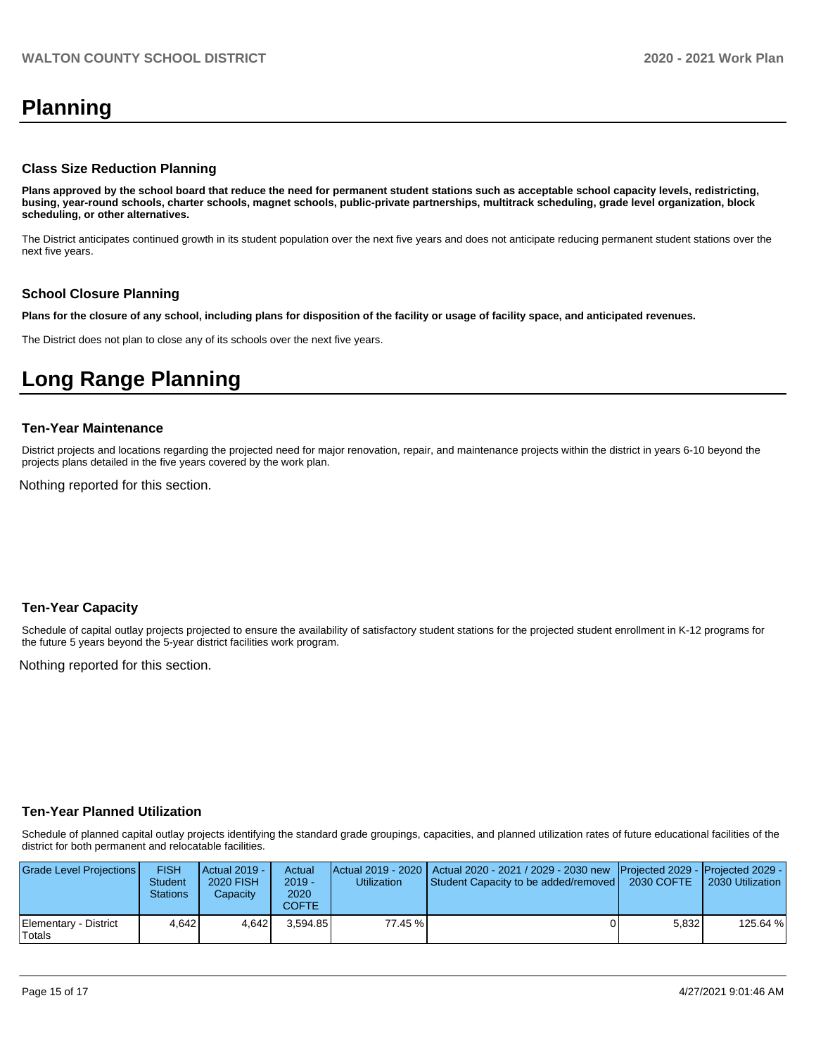# **Planning**

#### **Class Size Reduction Planning**

**Plans approved by the school board that reduce the need for permanent student stations such as acceptable school capacity levels, redistricting, busing, year-round schools, charter schools, magnet schools, public-private partnerships, multitrack scheduling, grade level organization, block scheduling, or other alternatives.**

The District anticipates continued growth in its student population over the next five years and does not anticipate reducing permanent student stations over the next five years.

#### **School Closure Planning**

**Plans for the closure of any school, including plans for disposition of the facility or usage of facility space, and anticipated revenues.** 

The District does not plan to close any of its schools over the next five years.

# **Long Range Planning**

#### **Ten-Year Maintenance**

District projects and locations regarding the projected need for major renovation, repair, and maintenance projects within the district in years 6-10 beyond the projects plans detailed in the five years covered by the work plan.

Nothing reported for this section.

# **Ten-Year Capacity**

Schedule of capital outlay projects projected to ensure the availability of satisfactory student stations for the projected student enrollment in K-12 programs for the future 5 years beyond the 5-year district facilities work program.

Nothing reported for this section.

# **Ten-Year Planned Utilization**

Schedule of planned capital outlay projects identifying the standard grade groupings, capacities, and planned utilization rates of future educational facilities of the district for both permanent and relocatable facilities.

| Grade Level Projections         | FISH<br>Student<br>Stations | <b>Actual 2019 -</b><br><b>2020 FISH</b><br>Capacity | Actual<br>$2019 -$<br>2020<br>COFTE | Utilization | Actual 2019 - 2020   Actual 2020 - 2021 / 2029 - 2030 new   Projected 2029 -   Projected 2029 -<br>Student Capacity to be added/removed | 2030 COFTE | 2030 Utilization |
|---------------------------------|-----------------------------|------------------------------------------------------|-------------------------------------|-------------|-----------------------------------------------------------------------------------------------------------------------------------------|------------|------------------|
| Elementary - District<br>Totals | 4.642                       | 4.642                                                | 3.594.85                            | 77.45 %     |                                                                                                                                         | 5.832      | 125.64 %         |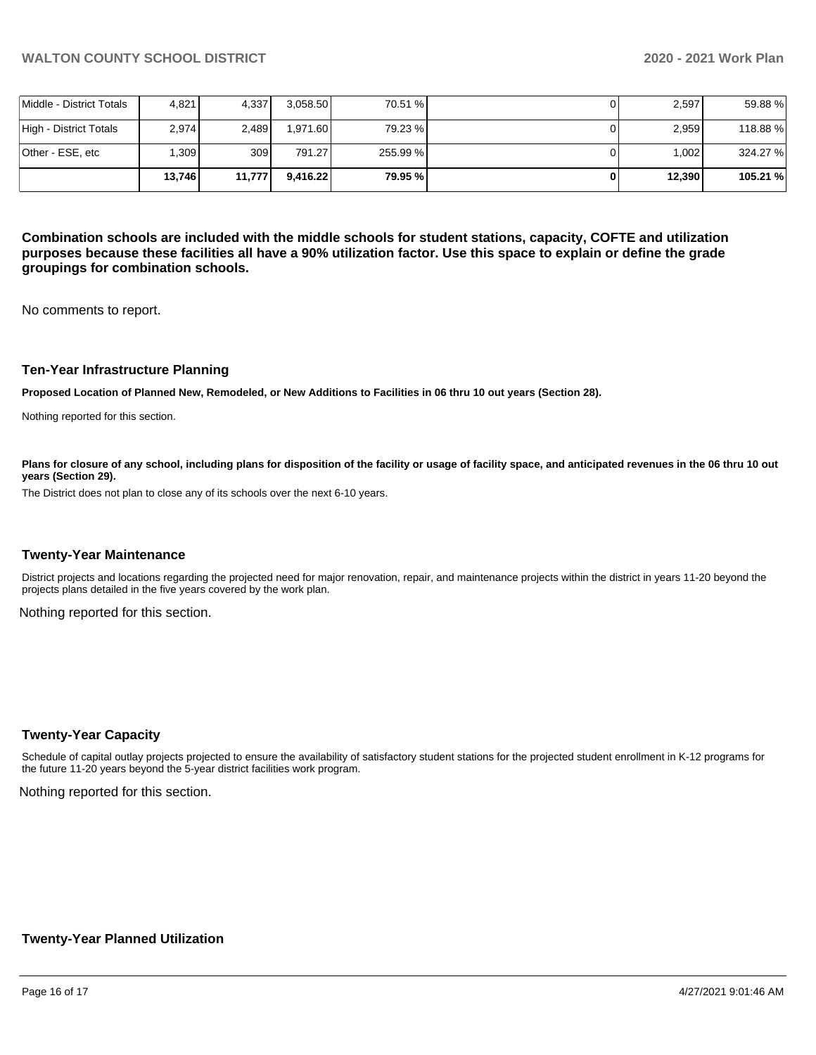|                          | 13.746            | 11,777           | 9.416.22 | 79.95 %  | 12.390 | 105.21 % |
|--------------------------|-------------------|------------------|----------|----------|--------|----------|
| lOther - ESE. etc        | .309 <sub>l</sub> | 309 <sub>l</sub> | 791.27   | 255.99 % | 1.002  | 324.27 % |
| High - District Totals   | 2.974             | 2.489            | 1.971.60 | 79.23 %  | 2,959  | 118.88%  |
| Middle - District Totals | 4.821             | 4.337            | 3.058.50 | 70.51 %  | 2,597  | 59.88%   |

**Combination schools are included with the middle schools for student stations, capacity, COFTE and utilization purposes because these facilities all have a 90% utilization factor. Use this space to explain or define the grade groupings for combination schools.** 

No comments to report.

#### **Ten-Year Infrastructure Planning**

**Proposed Location of Planned New, Remodeled, or New Additions to Facilities in 06 thru 10 out years (Section 28).**

Nothing reported for this section.

Plans for closure of any school, including plans for disposition of the facility or usage of facility space, and anticipated revenues in the 06 thru 10 out **years (Section 29).**

The District does not plan to close any of its schools over the next 6-10 years.

#### **Twenty-Year Maintenance**

District projects and locations regarding the projected need for major renovation, repair, and maintenance projects within the district in years 11-20 beyond the projects plans detailed in the five years covered by the work plan.

Nothing reported for this section.

# **Twenty-Year Capacity**

Schedule of capital outlay projects projected to ensure the availability of satisfactory student stations for the projected student enrollment in K-12 programs for the future 11-20 years beyond the 5-year district facilities work program.

Nothing reported for this section.

# **Twenty-Year Planned Utilization**